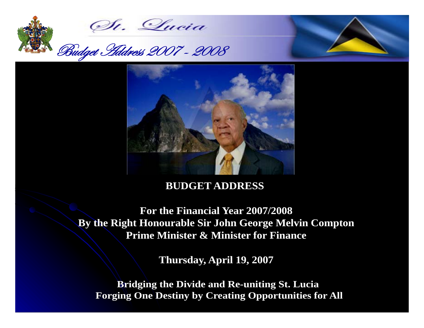





# **BUDGET ADDRESS**

 **For the Financial Year 2007/2008 For the Financial Year 2007/2008 By the Right Honourable Sir John George Melvin Compton By the Right Honourable Sir John George Melvin Compton Prime Minister & Minister for Finance Prime Minister & Minister for Finance**

**Thursday, April 19, 2007 Thursday, April 19, 2007**

**Bridging the Divide and Re-uniting St. Lucia Bridging the Divide and Re-uniting St. Lucia Forging One Destiny by Creating Opportunities for All**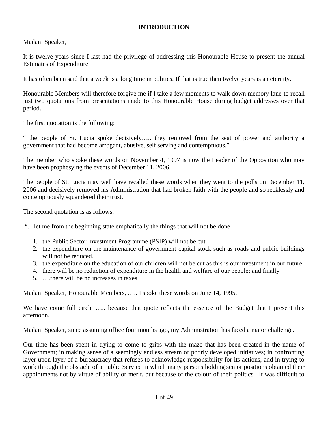## **INTRODUCTION**

Madam Speaker,

It is twelve years since I last had the privilege of addressing this Honourable House to present the annual Estimates of Expenditure.

It has often been said that a week is a long time in politics. If that is true then twelve years is an eternity.

Honourable Members will therefore forgive me if I take a few moments to walk down memory lane to recall just two quotations from presentations made to this Honourable House during budget addresses over that period.

The first quotation is the following:

" the people of St. Lucia spoke decisively….. they removed from the seat of power and authority a government that had become arrogant, abusive, self serving and contemptuous."

The member who spoke these words on November 4, 1997 is now the Leader of the Opposition who may have been prophesying the events of December 11, 2006.

The people of St. Lucia may well have recalled these words when they went to the polls on December 11, 2006 and decisively removed his Administration that had broken faith with the people and so recklessly and contemptuously squandered their trust.

The second quotation is as follows:

"…let me from the beginning state emphatically the things that will not be done.

- 1. the Public Sector Investment Programme (PSIP) will not be cut.
- 2. the expenditure on the maintenance of government capital stock such as roads and public buildings will not be reduced.
- 3. the expenditure on the education of our children will not be cut as this is our investment in our future.
- 4. there will be no reduction of expenditure in the health and welfare of our people; and finally
- 5. ….there will be no increases in taxes.

Madam Speaker, Honourable Members, ….. I spoke these words on June 14, 1995.

We have come full circle ..... because that quote reflects the essence of the Budget that I present this afternoon.

Madam Speaker, since assuming office four months ago, my Administration has faced a major challenge.

Our time has been spent in trying to come to grips with the maze that has been created in the name of Government; in making sense of a seemingly endless stream of poorly developed initiatives; in confronting layer upon layer of a bureaucracy that refuses to acknowledge responsibility for its actions, and in trying to work through the obstacle of a Public Service in which many persons holding senior positions obtained their appointments not by virtue of ability or merit, but because of the colour of their politics. It was difficult to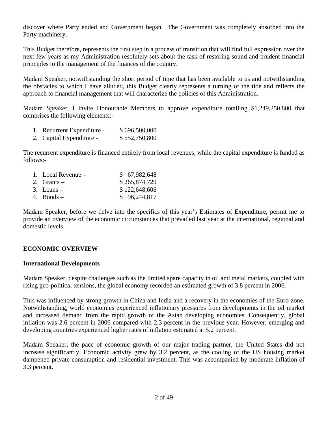discover where Party ended and Government began. The Government was completely absorbed into the Party machinery.

This Budget therefore, represents the first step in a process of transition that will find full expression over the next few years as my Administration resolutely sets about the task of restoring sound and prudent financial principles to the management of the finances of the country.

Madam Speaker, notwithstanding the short period of time that has been available to us and notwithstanding the obstacles to which I have alluded, this Budget clearly represents a turning of the tide and reflects the approach to financial management that will characterize the policies of this Administration.

Madam Speaker, I invite Honourable Members to approve expenditure totalling \$1,249,250,800 that comprises the following elements:-

- 1. Recurrent Expenditure \$ 696,500,000
- 2. Capital Expenditure \$ 552,750,800

The recurrent expenditure is financed entirely from local revenues, while the capital expenditure is funded as follows:-

| 1. Local Revenue $-$ | \$67,982,648  |
|----------------------|---------------|
| 2. Grants $-$        | \$265,874,729 |
| $3.$ Loans –         | \$122,648,606 |
| 4. Bonds $-$         | \$96,244,817  |

Madam Speaker, before we delve into the specifics of this year's Estimates of Expenditure, permit me to provide an overview of the economic circumstances that prevailed last year at the international, regional and domestic levels.

# **ECONOMIC OVERVIEW**

#### **International Developments**

Madam Speaker, despite challenges such as the limited spare capacity in oil and metal markets, coupled with rising geo-political tensions, the global economy recorded an estimated growth of 3.8 percent in 2006.

This was influenced by strong growth in China and India and a recovery in the economies of the Euro-zone. Notwithstanding, world economies experienced inflationary pressures from developments in the oil market and increased demand from the rapid growth of the Asian developing economies. Consequently, global inflation was 2.6 percent in 2006 compared with 2.3 percent in the previous year. However, emerging and developing countries experienced higher rates of inflation estimated at 5.2 percent.

Madam Speaker, the pace of economic growth of our major trading partner, the United States did not increase significantly. Economic activity grew by 3.2 percent, as the cooling of the US housing market dampened private consumption and residential investment. This was accompanied by moderate inflation of 3.3 percent.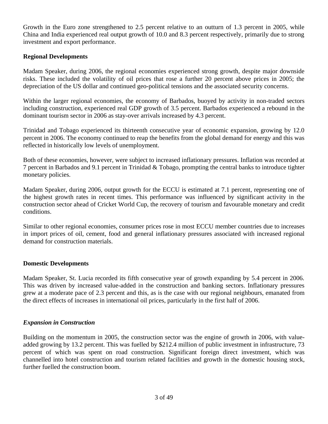Growth in the Euro zone strengthened to 2.5 percent relative to an outturn of 1.3 percent in 2005, while China and India experienced real output growth of 10.0 and 8.3 percent respectively, primarily due to strong investment and export performance.

## **Regional Developments**

Madam Speaker, during 2006, the regional economies experienced strong growth, despite major downside risks. These included the volatility of oil prices that rose a further 20 percent above prices in 2005; the depreciation of the US dollar and continued geo-political tensions and the associated security concerns.

Within the larger regional economies, the economy of Barbados, buoyed by activity in non-traded sectors including construction, experienced real GDP growth of 3.5 percent. Barbados experienced a rebound in the dominant tourism sector in 2006 as stay-over arrivals increased by 4.3 percent.

Trinidad and Tobago experienced its thirteenth consecutive year of economic expansion, growing by 12.0 percent in 2006. The economy continued to reap the benefits from the global demand for energy and this was reflected in historically low levels of unemployment.

Both of these economies, however, were subject to increased inflationary pressures. Inflation was recorded at 7 percent in Barbados and 9.1 percent in Trinidad & Tobago, prompting the central banks to introduce tighter monetary policies.

Madam Speaker, during 2006, output growth for the ECCU is estimated at 7.1 percent, representing one of the highest growth rates in recent times. This performance was influenced by significant activity in the construction sector ahead of Cricket World Cup, the recovery of tourism and favourable monetary and credit conditions.

Similar to other regional economies, consumer prices rose in most ECCU member countries due to increases in import prices of oil, cement, food and general inflationary pressures associated with increased regional demand for construction materials.

#### **Domestic Developments**

Madam Speaker, St. Lucia recorded its fifth consecutive year of growth expanding by 5.4 percent in 2006. This was driven by increased value-added in the construction and banking sectors. Inflationary pressures grew at a moderate pace of 2.3 percent and this, as is the case with our regional neighbours, emanated from the direct effects of increases in international oil prices, particularly in the first half of 2006.

#### *Expansion in Construction*

Building on the momentum in 2005, the construction sector was the engine of growth in 2006, with valueadded growing by 13.2 percent. This was fuelled by \$212.4 million of public investment in infrastructure, 73 percent of which was spent on road construction. Significant foreign direct investment, which was channelled into hotel construction and tourism related facilities and growth in the domestic housing stock, further fuelled the construction boom.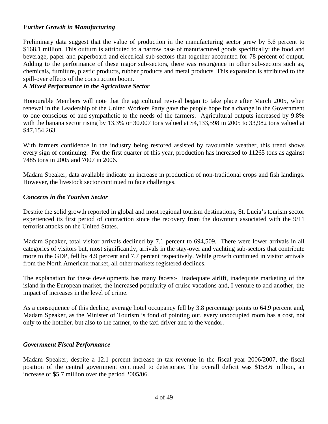# *Further Growth in Manufacturing*

Preliminary data suggest that the value of production in the manufacturing sector grew by 5.6 percent to \$168.1 million. This outturn is attributed to a narrow base of manufactured goods specifically: the food and beverage, paper and paperboard and electrical sub-sectors that together accounted for 78 percent of output. Adding to the performance of these major sub-sectors, there was resurgence in other sub-sectors such as, chemicals, furniture, plastic products, rubber products and metal products. This expansion is attributed to the spill-over effects of the construction boom.

# *A Mixed Performance in the Agriculture Sector*

Honourable Members will note that the agricultural revival began to take place after March 2005, when renewal in the Leadership of the United Workers Party gave the people hope for a change in the Government to one conscious of and sympathetic to the needs of the farmers. Agricultural outputs increased by 9.8% with the banana sector rising by 13.3% or 30.007 tons valued at \$4,133,598 in 2005 to 33,982 tons valued at \$47,154,263.

With farmers confidence in the industry being restored assisted by favourable weather, this trend shows every sign of continuing. For the first quarter of this year, production has increased to 11265 tons as against 7485 tons in 2005 and 7007 in 2006.

Madam Speaker, data available indicate an increase in production of non-traditional crops and fish landings. However, the livestock sector continued to face challenges.

#### *Concerns in the Tourism Sector*

Despite the solid growth reported in global and most regional tourism destinations, St. Lucia's tourism sector experienced its first period of contraction since the recovery from the downturn associated with the 9/11 terrorist attacks on the United States.

Madam Speaker, total visitor arrivals declined by 7.1 percent to 694,509. There were lower arrivals in all categories of visitors but, most significantly, arrivals in the stay-over and yachting sub-sectors that contribute more to the GDP, fell by 4.9 percent and 7.7 percent respectively. While growth continued in visitor arrivals from the North American market, all other markets registered declines.

The explanation for these developments has many facets:- inadequate airlift, inadequate marketing of the island in the European market, the increased popularity of cruise vacations and, I venture to add another, the impact of increases in the level of crime.

As a consequence of this decline, average hotel occupancy fell by 3.8 percentage points to 64.9 percent and, Madam Speaker, as the Minister of Tourism is fond of pointing out, every unoccupied room has a cost, not only to the hotelier, but also to the farmer, to the taxi driver and to the vendor.

#### *Government Fiscal Performance*

Madam Speaker, despite a 12.1 percent increase in tax revenue in the fiscal year 2006/2007, the fiscal position of the central government continued to deteriorate. The overall deficit was \$158.6 million, an increase of \$5.7 million over the period 2005/06.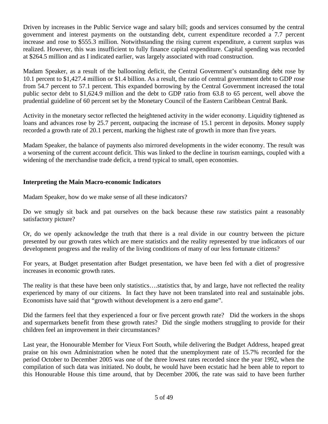Driven by increases in the Public Service wage and salary bill; goods and services consumed by the central government and interest payments on the outstanding debt, current expenditure recorded a 7.7 percent increase and rose to \$555.3 million. Notwithstanding the rising current expenditure, a current surplus was realized. However, this was insufficient to fully finance capital expenditure. Capital spending was recorded at \$264.5 million and as I indicated earlier, was largely associated with road construction.

Madam Speaker, as a result of the ballooning deficit, the Central Government's outstanding debt rose by 10.1 percent to \$1,427.4 million or \$1.4 billion. As a result, the ratio of central government debt to GDP rose from 54.7 percent to 57.1 percent. This expanded borrowing by the Central Government increased the total public sector debt to \$1,624.9 million and the debt to GDP ratio from 63.8 to 65 percent, well above the prudential guideline of 60 percent set by the Monetary Council of the Eastern Caribbean Central Bank.

Activity in the monetary sector reflected the heightened activity in the wider economy. Liquidity tightened as loans and advances rose by 25.7 percent, outpacing the increase of 15.1 percent in deposits. Money supply recorded a growth rate of 20.1 percent, marking the highest rate of growth in more than five years.

Madam Speaker, the balance of payments also mirrored developments in the wider economy. The result was a worsening of the current account deficit. This was linked to the decline in tourism earnings, coupled with a widening of the merchandise trade deficit, a trend typical to small, open economies.

# **Interpreting the Main Macro-economic Indicators**

Madam Speaker, how do we make sense of all these indicators?

Do we smugly sit back and pat ourselves on the back because these raw statistics paint a reasonably satisfactory picture?

Or, do we openly acknowledge the truth that there is a real divide in our country between the picture presented by our growth rates which are mere statistics and the reality represented by true indicators of our development progress and the reality of the living conditions of many of our less fortunate citizens?

For years, at Budget presentation after Budget presentation, we have been fed with a diet of progressive increases in economic growth rates.

The reality is that these have been only statistics….statistics that, by and large, have not reflected the reality experienced by many of our citizens. In fact they have not been translated into real and sustainable jobs. Economists have said that "growth without development is a zero end game".

Did the farmers feel that they experienced a four or five percent growth rate? Did the workers in the shops and supermarkets benefit from these growth rates? Did the single mothers struggling to provide for their children feel an improvement in their circumstances?

Last year, the Honourable Member for Vieux Fort South, while delivering the Budget Address, heaped great praise on his own Administration when he noted that the unemployment rate of 15.7% recorded for the period October to December 2005 was one of the three lowest rates recorded since the year 1992, when the compilation of such data was initiated. No doubt, he would have been ecstatic had he been able to report to this Honourable House this time around, that by December 2006, the rate was said to have been further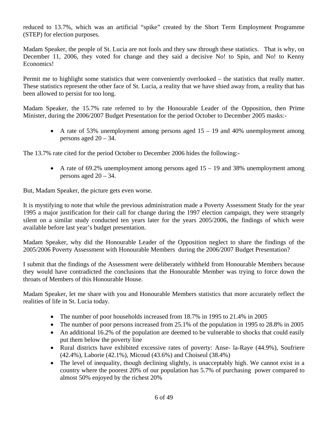reduced to 13.7%, which was an artificial "spike" created by the Short Term Employment Programme (STEP) for election purposes.

Madam Speaker, the people of St. Lucia are not fools and they saw through these statistics. That is why, on December 11, 2006, they voted for change and they said a decisive No! to Spin, and No! to Kenny Economics!

Permit me to highlight some statistics that were conveniently overlooked – the statistics that really matter. These statistics represent the other face of St. Lucia, a reality that we have shied away from, a reality that has been allowed to persist for too long.

Madam Speaker, the 15.7% rate referred to by the Honourable Leader of the Opposition, then Prime Minister, during the 2006/2007 Budget Presentation for the period October to December 2005 masks:-

• A rate of 53% unemployment among persons aged  $15 - 19$  and 40% unemployment among persons aged  $20 - 34$ .

The 13.7% rate cited for the period October to December 2006 hides the following:-

• A rate of 69.2% unemployment among persons aged  $15 - 19$  and 38% unemployment among persons aged  $20 - 34$ .

But, Madam Speaker, the picture gets even worse.

It is mystifying to note that while the previous administration made a Poverty Assessment Study for the year 1995 a major justification for their call for change during the 1997 election campaign, they were strangely silent on a similar study conducted ten years later for the years 2005/2006, the findings of which were available before last year's budget presentation.

Madam Speaker, why did the Honourable Leader of the Opposition neglect to share the findings of the 2005/2006 Poverty Assessment with Honourable Members during the 2006/2007 Budget Presentation?

I submit that the findings of the Assessment were deliberately withheld from Honourable Members because they would have contradicted the conclusions that the Honourable Member was trying to force down the throats of Members of this Honourable House.

Madam Speaker, let me share with you and Honourable Members statistics that more accurately reflect the realities of life in St. Lucia today.

- The number of poor households increased from 18.7% in 1995 to 21.4% in 2005
- The number of poor persons increased from 25.1% of the population in 1995 to 28.8% in 2005
- An additional 16.2% of the population are deemed to be vulnerable to shocks that could easily put them below the poverty line
- Rural districts have exhibited excessive rates of poverty: Anse- la-Raye (44.9%), Soufriere (42.4%), Laborie (42.1%), Micoud (43.6%) and Choiseul (38.4%)
- The level of inequality, though declining slightly, is unacceptably high. We cannot exist in a country where the poorest 20% of our population has 5.7% of purchasing power compared to almost 50% enjoyed by the richest 20%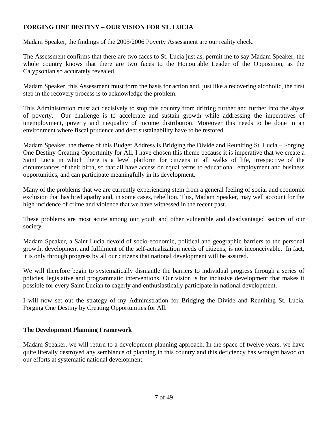# **FORGING ONE DESTINY – OUR VISION FOR ST. LUCIA**

Madam Speaker, the findings of the 2005/2006 Poverty Assessment are our reality check.

The Assessment confirms that there are two faces to St. Lucia just as, permit me to say Madam Speaker, the whole country knows that there are two faces to the Honourable Leader of the Opposition, as the Calypsonian so accurately revealed.

Madam Speaker, this Assessment must form the basis for action and, just like a recovering alcoholic, the first step in the recovery process is to acknowledge the problem.

This Administration must act decisively to stop this country from drifting further and further into the abyss of poverty. Our challenge is to accelerate and sustain growth while addressing the imperatives of unemployment, poverty and inequality of income distribution. Moreover this needs to be done in an environment where fiscal prudence and debt sustainability have to be restored.

Madam Speaker, the theme of this Budget Address is Bridging the Divide and Reuniting St. Lucia – Forging One Destiny Creating Opportunity for All. I have chosen this theme because it is imperative that we create a Saint Lucia in which there is a level platform for citizens in all walks of life, irrespective of the circumstances of their birth, so that all have access on equal terms to educational, employment and business opportunities, and can participate meaningfully in its development.

Many of the problems that we are currently experiencing stem from a general feeling of social and economic exclusion that has bred apathy and, in some cases, rebellion. This, Madam Speaker, may well account for the high incidence of crime and violence that we have witnessed in the recent past.

These problems are most acute among our youth and other vulnerable and disadvantaged sectors of our society.

Madam Speaker, a Saint Lucia devoid of socio-economic, political and geographic barriers to the personal growth, development and fulfilment of the self-actualization needs of citizens, is not inconceivable. In fact, it is only through progress by all our citizens that national development will be assured.

We will therefore begin to systematically dismantle the barriers to individual progress through a series of policies, legislative and programmatic interventions. Our vision is for inclusive development that makes it possible for every Saint Lucian to eagerly and enthusiastically participate in national development.

I will now set out the strategy of my Administration for Bridging the Divide and Reuniting St. Lucia. Forging One Destiny by Creating Opportunities for All.

# **The Development Planning Framework**

Madam Speaker, we will return to a development planning approach. In the space of twelve years, we have quite literally destroyed any semblance of planning in this country and this deficiency has wrought havoc on our efforts at systematic national development.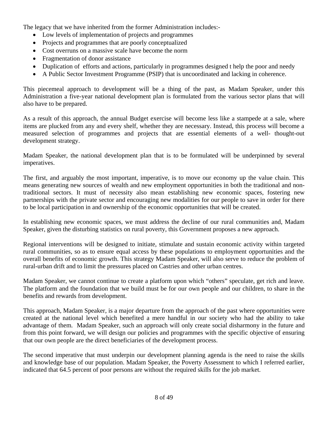The legacy that we have inherited from the former Administration includes:-

- Low levels of implementation of projects and programmes
- Projects and programmes that are poorly conceptualized
- Cost overruns on a massive scale have become the norm
- Fragmentation of donor assistance
- Duplication of efforts and actions, particularly in programmes designed t help the poor and needy
- A Public Sector Investment Programme (PSIP) that is uncoordinated and lacking in coherence.

This piecemeal approach to development will be a thing of the past, as Madam Speaker, under this Administration a five-year national development plan is formulated from the various sector plans that will also have to be prepared.

As a result of this approach, the annual Budget exercise will become less like a stampede at a sale, where items are plucked from any and every shelf, whether they are necessary. Instead, this process will become a measured selection of programmes and projects that are essential elements of a well- thought-out development strategy.

Madam Speaker, the national development plan that is to be formulated will be underpinned by several imperatives.

The first, and arguably the most important, imperative, is to move our economy up the value chain. This means generating new sources of wealth and new employment opportunities in both the traditional and nontraditional sectors. It must of necessity also mean establishing new economic spaces, fostering new partnerships with the private sector and encouraging new modalities for our people to save in order for there to be local participation in and ownership of the economic opportunities that will be created.

In establishing new economic spaces, we must address the decline of our rural communities and, Madam Speaker, given the disturbing statistics on rural poverty, this Government proposes a new approach.

Regional interventions will be designed to initiate, stimulate and sustain economic activity within targeted rural communities, so as to ensure equal access by these populations to employment opportunities and the overall benefits of economic growth. This strategy Madam Speaker, will also serve to reduce the problem of rural-urban drift and to limit the pressures placed on Castries and other urban centres.

Madam Speaker, we cannot continue to create a platform upon which "others" speculate, get rich and leave. The platform and the foundation that we build must be for our own people and our children, to share in the benefits and rewards from development.

This approach, Madam Speaker, is a major departure from the approach of the past where opportunities were created at the national level which benefited a mere handful in our society who had the ability to take advantage of them. Madam Speaker, such an approach will only create social disharmony in the future and from this point forward, we will design our policies and programmes with the specific objective of ensuring that our own people are the direct beneficiaries of the development process.

The second imperative that must underpin our development planning agenda is the need to raise the skills and knowledge base of our population. Madam Speaker, the Poverty Assessment to which I referred earlier, indicated that 64.5 percent of poor persons are without the required skills for the job market.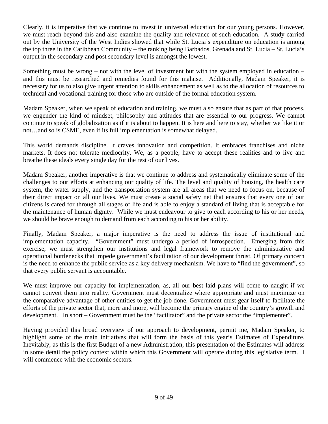Clearly, it is imperative that we continue to invest in universal education for our young persons. However, we must reach beyond this and also examine the quality and relevance of such education. A study carried out by the University of the West Indies showed that while St. Lucia's expenditure on education is among the top three in the Caribbean Community – the ranking being Barbados, Grenada and St. Lucia – St. Lucia's output in the secondary and post secondary level is amongst the lowest.

Something must be wrong – not with the level of investment but with the system employed in education – and this must be researched and remedies found for this malaise. Additionally, Madam Speaker, it is necessary for us to also give urgent attention to skills enhancement as well as to the allocation of resources to technical and vocational training for those who are outside of the formal education system.

Madam Speaker, when we speak of education and training, we must also ensure that as part of that process, we engender the kind of mindset, philosophy and attitudes that are essential to our progress. We cannot continue to speak of globalization as if it is about to happen. It is here and here to stay, whether we like it or not…and so is CSME, even if its full implementation is somewhat delayed.

This world demands discipline. It craves innovation and competition. It embraces franchises and niche markets. It does not tolerate mediocrity. We, as a people, have to accept these realities and to live and breathe these ideals every single day for the rest of our lives.

Madam Speaker, another imperative is that we continue to address and systematically eliminate some of the challenges to our efforts at enhancing our quality of life. The level and quality of housing, the health care system, the water supply, and the transportation system are all areas that we need to focus on, because of their direct impact on all our lives. We must create a social safety net that ensures that every one of our citizens is cared for through all stages of life and is able to enjoy a standard of living that is acceptable for the maintenance of human dignity. While we must endeavour to give to each according to his or her needs, we should be brave enough to demand from each according to his or her ability.

Finally, Madam Speaker, a major imperative is the need to address the issue of institutional and implementation capacity. "Government" must undergo a period of introspection. Emerging from this exercise, we must strengthen our institutions and legal framework to remove the administrative and operational bottlenecks that impede government's facilitation of our development thrust. Of primary concern is the need to enhance the public service as a key delivery mechanism. We have to "find the government", so that every public servant is accountable.

We must improve our capacity for implementation, as, all our best laid plans will come to naught if we cannot convert them into reality. Government must decentralize where appropriate and must maximize on the comparative advantage of other entities to get the job done. Government must gear itself to facilitate the efforts of the private sector that, more and more, will become the primary engine of the country's growth and development. In short – Government must be the "facilitator" and the private sector the "implementer".

Having provided this broad overview of our approach to development, permit me, Madam Speaker, to highlight some of the main initiatives that will form the basis of this year's Estimates of Expenditure. Inevitably, as this is the first Budget of a new Administration, this presentation of the Estimates will address in some detail the policy context within which this Government will operate during this legislative term. I will commence with the economic sectors.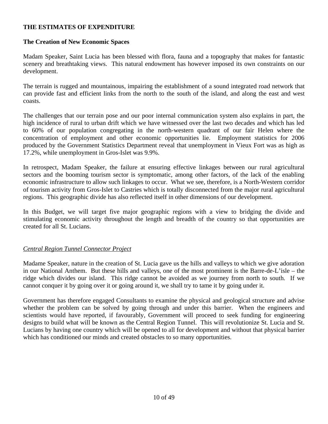## **THE ESTIMATES OF EXPENDITURE**

#### **The Creation of New Economic Spaces**

Madam Speaker, Saint Lucia has been blessed with flora, fauna and a topography that makes for fantastic scenery and breathtaking views. This natural endowment has however imposed its own constraints on our development.

The terrain is rugged and mountainous, impairing the establishment of a sound integrated road network that can provide fast and efficient links from the north to the south of the island, and along the east and west coasts.

The challenges that our terrain pose and our poor internal communication system also explains in part, the high incidence of rural to urban drift which we have witnessed over the last two decades and which has led to 60% of our population congregating in the north-western quadrant of our fair Helen where the concentration of employment and other economic opportunities lie. Employment statistics for 2006 produced by the Government Statistics Department reveal that unemployment in Vieux Fort was as high as 17.2%, while unemployment in Gros-Islet was 9.9%.

In retrospect, Madam Speaker, the failure at ensuring effective linkages between our rural agricultural sectors and the booming tourism sector is symptomatic, among other factors, of the lack of the enabling economic infrastructure to allow such linkages to occur. What we see, therefore, is a North-Western corridor of tourism activity from Gros-Islet to Castries which is totally disconnected from the major rural agricultural regions. This geographic divide has also reflected itself in other dimensions of our development.

In this Budget, we will target five major geographic regions with a view to bridging the divide and stimulating economic activity throughout the length and breadth of the country so that opportunities are created for all St. Lucians.

#### *Central Region Tunnel Connector Project*

Madame Speaker, nature in the creation of St. Lucia gave us the hills and valleys to which we give adoration in our National Anthem. But these hills and valleys, one of the most prominent is the Barre-de-L'isle – the ridge which divides our island. This ridge cannot be avoided as we journey from north to south. If we cannot conquer it by going over it or going around it, we shall try to tame it by going under it.

Government has therefore engaged Consultants to examine the physical and geological structure and advise whether the problem can be solved by going through and under this barrier. When the engineers and scientists would have reported, if favourably, Government will proceed to seek funding for engineering designs to build what will be known as the Central Region Tunnel. This will revolutionize St. Lucia and St. Lucians by having one country which will be opened to all for development and without that physical barrier which has conditioned our minds and created obstacles to so many opportunities.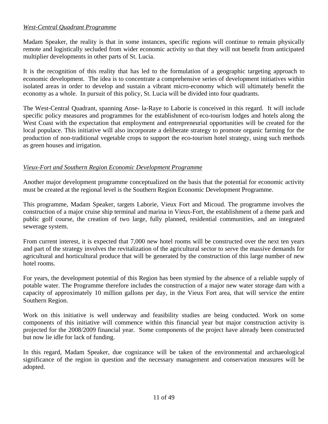# *West-Central Quadrant Programme*

Madam Speaker, the reality is that in some instances, specific regions will continue to remain physically remote and logistically secluded from wider economic activity so that they will not benefit from anticipated multiplier developments in other parts of St. Lucia.

It is the recognition of this reality that has led to the formulation of a geographic targeting approach to economic development. The idea is to concentrate a comprehensive series of development initiatives within isolated areas in order to develop and sustain a vibrant micro-economy which will ultimately benefit the economy as a whole. In pursuit of this policy, St. Lucia will be divided into four quadrants.

The West-Central Quadrant, spanning Anse- la-Raye to Laborie is conceived in this regard. It will include specific policy measures and programmes for the establishment of eco-tourism lodges and hotels along the West Coast with the expectation that employment and entrepreneurial opportunities will be created for the local populace. This initiative will also incorporate a deliberate strategy to promote organic farming for the production of non-traditional vegetable crops to support the eco-tourism hotel strategy, using such methods as green houses and irrigation.

# *Vieux -Fort and Southern Region Economic Development Programme*

Another major development programme conceptualized on the basis that the potential for economic activity must be created at the regional level is the Southern Region Economic Development Programme.

This programme, Madam Speaker, targets Laborie, Vieux Fort and Micoud. The programme involves the construction of a major cruise ship terminal and marina in Vieux-Fort, the establishment of a theme park and public golf course, the creation of two large, fully planned, residential communities, and an integrated sewerage system.

From current interest, it is expected that 7,000 new hotel rooms will be constructed over the next ten years and part of the strategy involves the revitalization of the agricultural sector to serve the massive demands for agricultural and horticultural produce that will be generated by the construction of this large number of new hotel rooms.

For years, the development potential of this Region has been stymied by the absence of a reliable supply of potable water. The Programme therefore includes the construction of a major new water storage dam with a capacity of approximately 10 million gallons per day, in the Vieux Fort area, that will service the entire Southern Region.

Work on this initiative is well underway and feasibility studies are being conducted. Work on some components of this initiative will commence within this financial year but major construction activity is projected for the 2008/2009 financial year. Some components of the project have already been constructed but now lie idle for lack of funding.

In this regard, Madam Speaker, due cognizance will be taken of the environmental and archaeological significance of the region in question and the necessary management and conservation measures will be adopted.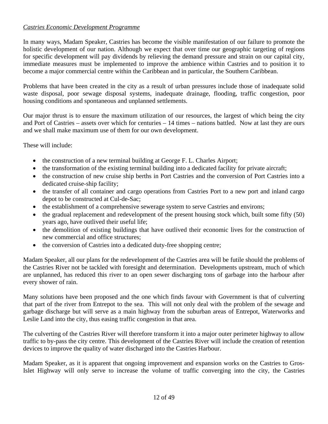# *Castries Economic Development Programme*

In many ways, Madam Speaker, Castries has become the visible manifestation of our failure to promote the holistic development of our nation. Although we expect that over time our geographic targeting of regions for specific development will pay dividends by relieving the demand pressure and strain on our capital city, immediate measures must be implemented to improve the ambience within Castries and to position it to become a major commercial centre within the Caribbean and in particular, the Southern Caribbean.

Problems that have been created in the city as a result of urban pressures include those of inadequate solid waste disposal, poor sewage disposal systems, inadequate drainage, flooding, traffic congestion, poor housing conditions and spontaneous and unplanned settlements.

Our major thrust is to ensure the maximum utilization of our resources, the largest of which being the city and Port of Castries – assets over which for centuries – 14 times – nations battled. Now at last they are ours and we shall make maximum use of them for our own development.

These will include:

- the construction of a new terminal building at George F. L. Charles Airport;
- the transformation of the existing terminal building into a dedicated facility for private aircraft;
- the construction of new cruise ship berths in Port Castries and the conversion of Port Castries into a dedicated cruise-ship facility;
- the transfer of all container and cargo operations from Castries Port to a new port and inland cargo depot to be constructed at Cul-de-Sac;
- the establishment of a comprehensive sewerage system to serve Castries and environs;
- the gradual replacement and redevelopment of the present housing stock which, built some fifty (50) years ago, have outlived their useful life;
- the demolition of existing buildings that have outlived their economic lives for the construction of new commercial and office structures;
- the conversion of Castries into a dedicated duty-free shopping centre;

Madam Speaker, all our plans for the redevelopment of the Castries area will be futile should the problems of the Castries River not be tackled with foresight and determination. Developments upstream, much of which are unplanned, has reduced this river to an open sewer discharging tons of garbage into the harbour after every shower of rain.

Many solutions have been proposed and the one which finds favour with Government is that of culverting that part of the river from Entrepot to the sea. This will not only deal with the problem of the sewage and garbage discharge but will serve as a main highway from the suburban areas of Entrepot, Waterworks and Leslie Land into the city, thus easing traffic congestion in that area.

The culverting of the Castries River will therefore transform it into a major outer perimeter highway to allow traffic to by-pass the city centre. This development of the Castries River will include the creation of retention devices to improve the quality of water discharged into the Castries Harbour.

Madam Speaker, as it is apparent that ongoing improvement and expansion works on the Castries to Gros-Islet Highway will only serve to increase the volume of traffic converging into the city, the Castries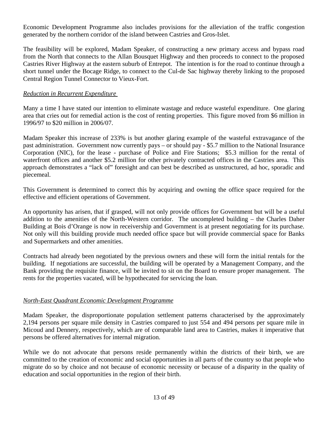Economic Development Programme also includes provisions for the alleviation of the traffic congestion generated by the northern corridor of the island between Castries and Gros-Islet.

The feasibility will be explored, Madam Speaker, of constructing a new primary access and bypass road from the North that connects to the Allan Bousquet Highway and then proceeds to connect to the proposed Castries River Highway at the eastern suburb of Entrepot. The intention is for the road to continue through a short tunnel under the Bocage Ridge, to connect to the Cul-de Sac highway thereby linking to the proposed Central Region Tunnel Connector to Vieux-Fort.

## *Reduction in Recurrent Expenditure*

Many a time I have stated our intention to eliminate wastage and reduce wasteful expenditure. One glaring area that cries out for remedial action is the cost of renting properties. This figure moved from \$6 million in 1996/97 to \$20 million in 2006/07.

Madam Speaker this increase of 233% is but another glaring example of the wasteful extravagance of the past administration. Government now currently pays – or should pay - \$5.7 million to the National Insurance Corporation (NIC), for the lease - purchase of Police and Fire Stations; \$5.3 million for the rental of waterfront offices and another \$5.2 million for other privately contracted offices in the Castries area. This approach demonstrates a "lack of" foresight and can best be described as unstructured, ad hoc, sporadic and piecemeal.

This Government is determined to correct this by acquiring and owning the office space required for the effective and efficient operations of Government.

An opportunity has arisen, that if grasped, will not only provide offices for Government but will be a useful addition to the amenities of the North-Western corridor. The uncompleted building – the Charles Daher Building at Bois d'Orange is now in receivership and Government is at present negotiating for its purchase. Not only will this building provide much needed office space but will provide commercial space for Banks and Supermarkets and other amenities.

Contracts had already been negotiated by the previous owners and these will form the initial rentals for the building. If negotiations are successful, the building will be operated by a Management Company, and the Bank providing the requisite finance, will be invited to sit on the Board to ensure proper management. The rents for the properties vacated, will be hypothecated for servicing the loan.

# *North-East Quadrant Economic Development Programme*

Madam Speaker, the disproportionate population settlement patterns characterised by the approximately 2,194 persons per square mile density in Castries compared to just 554 and 494 persons per square mile in Micoud and Dennery, respectively, which are of comparable land area to Castries, makes it imperative that persons be offered alternatives for internal migration.

While we do not advocate that persons reside permanently within the districts of their birth, we are committed to the creation of economic and social opportunities in all parts of the country so that people who migrate do so by choice and not because of economic necessity or because of a disparity in the quality of education and social opportunities in the region of their birth.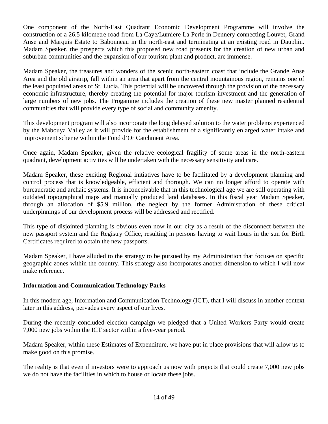One component of the North-East Quadrant Economic Development Programme will involve the construction of a 26.5 kilometre road from La Caye/Lumiere La Perle in Dennery connecting Louvet, Grand Anse and Marquis Estate to Babonneau in the north-east and terminating at an existing road in Dauphin. Madam Speaker, the prospects which this proposed new road presents for the creation of new urban and suburban communities and the expansion of our tourism plant and product, are immense.

Madam Speaker, the treasures and wonders of the scenic north-eastern coast that include the Grande Anse Area and the old airstrip, fall within an area that apart from the central mountainous region, remains one of the least populated areas of St. Lucia. This potential will be uncovered through the provision of the necessary economic infrastructure, thereby creating the potential for major tourism investment and the generation of large numbers of new jobs. The Progamme includes the creation of these new master planned residential communities that will provide every type of social and community amenity.

This development program will also incorporate the long delayed solution to the water problems experienced by the Mabouya Valley as it will provide for the establishment of a significantly enlarged water intake and improvement scheme within the Fond d'Or Catchment Area.

Once again, Madam Speaker, given the relative ecological fragility of some areas in the north-eastern quadrant, development activities will be undertaken with the necessary sensitivity and care.

Madam Speaker, these exciting Regional initiatives have to be facilitated by a development planning and control process that is knowledgeable, efficient and thorough. We can no longer afford to operate with bureaucratic and archaic systems. It is inconceivable that in this technological age we are still operating with outdated topographical maps and manually produced land databases. In this fiscal year Madam Speaker, through an allocation of \$5.9 million, the neglect by the former Administration of these critical underpinnings of our development process will be addressed and rectified.

This type of disjointed planning is obvious even now in our city as a result of the disconnect between the new passport system and the Registry Office, resulting in persons having to wait hours in the sun for Birth Certificates required to obtain the new passports.

Madam Speaker, I have alluded to the strategy to be pursued by my Administration that focuses on specific geographic zones within the country. This strategy also incorporates another dimension to which I will now make reference.

# **Information and Communication Technology Parks**

In this modern age, Information and Communication Technology (ICT), that I will discuss in another context later in this address, pervades every aspect of our lives.

During the recently concluded election campaign we pledged that a United Workers Party would create 7,000 new jobs within the ICT sector within a five-year period.

Madam Speaker, within these Estimates of Expenditure, we have put in place provisions that will allow us to make good on this promise.

The reality is that even if investors were to approach us now with projects that could create 7,000 new jobs we do not have the facilities in which to house or locate these jobs.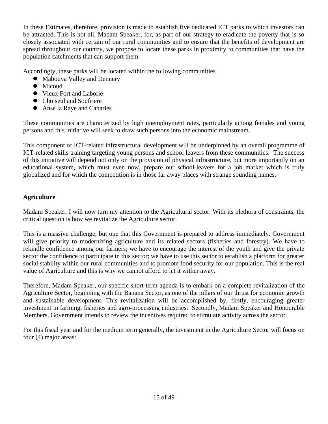In these Estimates, therefore, provision is made to establish five dedicated ICT parks to which investors can be attracted. This is not all, Madam Speaker, for, as part of our strategy to eradicate the poverty that is so closely associated with certain of our rural communities and to ensure that the benefits of development are spread throughout our country, we propose to locate these parks in proximity to communities that have the population catchments that can support them.

Accordingly, these parks will be located within the following communities

- Mabouya Valley and Dennery
- $\bullet$  Micoud
- Vieux Fort and Laborie
- Choiseul and Soufriere
- Anse la Raye and Canaries

These communities are characterized by high unemployment rates, particularly among females and young persons and this initiative will seek to draw such persons into the economic mainstream.

This component of ICT-related infrastructural development will be underpinned by an overall programme of ICT-related skills training targeting young persons and school leavers from these communities. The success of this initiative will depend not only on the provision of physical infrastructure, but more importantly on an educational system, which must even now, prepare our school-leavers for a job market which is truly globalized and for which the competition is in those far away places with strange sounding names.

# **Agriculture**

Madam Speaker, I will now turn my attention to the Agricultural sector. With its plethora of constraints, the critical question is how we revitalize the Agriculture sector.

This is a massive challenge, but one that this Government is prepared to address immediately. Government will give priority to modernizing agriculture and its related sectors (fisheries and forestry). We have to rekindle confidence among our farmers; we have to encourage the interest of the youth and give the private sector the confidence to participate in this sector; we have to use this sector to establish a platform for greater social stability within our rural communities and to promote food security for our population. This is the real value of Agriculture and this is why we cannot afford to let it wither away.

Therefore, Madam Speaker, our specific short-term agenda is to embark on a complete revitalization of the Agriculture Sector, beginning with the Banana Sector, as one of the pillars of our thrust for economic growth and sustainable development. This revitalization will be accomplished by, firstly, encouraging greater investment in farming, fisheries and agro-processing industries. Secondly, Madam Speaker and Honourable Members, Government intends to review the incentives required to stimulate activity across the sector.

For this fiscal year and for the medium term generally, the investment in the Agriculture Sector will focus on four (4) major areas: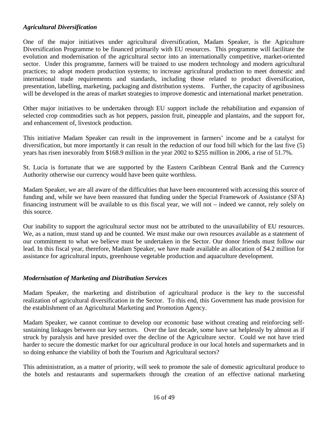# *Agricultural Diversification*

One of the major initiatives under agricultural diversification, Madam Speaker, is the Agriculture Diversification Programme to be financed primarily with EU resources. This programme will facilitate the evolution and modernisation of the agricultural sector into an internationally competitive, market-oriented sector. Under this programme, farmers will be trained to use modern technology and modern agricultural practices; to adopt modern production systems; to increase agricultural production to meet domestic and international trade requirements and standards, including those related to product diversification, presentation, labelling, marketing, packaging and distribution systems. Further, the capacity of agribusiness will be developed in the areas of market strategies to improve domestic and international market penetration.

Other major initiatives to be undertaken through EU support include the rehabilitation and expansion of selected crop commodities such as hot peppers, passion fruit, pineapple and plantains, and the support for, and enhancement of, livestock production.

This initiative Madam Speaker can result in the improvement in farmers' income and be a catalyst for diversification, but more importantly it can result in the reduction of our food bill which for the last five (5) years has risen inexorably from \$168.9 million in the year 2002 to \$255 million in 2006, a rise of 51.7%.

St. Lucia is fortunate that we are supported by the Eastern Caribbean Central Bank and the Currency Authority otherwise our currency would have been quite worthless.

Madam Speaker, we are all aware of the difficulties that have been encountered with accessing this source of funding and, while we have been reassured that funding under the Special Framework of Assistance (SFA) financing instrument will be available to us this fiscal year, we will not – indeed we cannot, rely solely on this source.

Our inability to support the agricultural sector must not be attributed to the unavailability of EU resources. We, as a nation, must stand up and be counted. We must make our own resources available as a statement of our commitment to what we believe must be undertaken in the Sector. Our donor friends must follow our lead. In this fiscal year, therefore, Madam Speaker, we have made available an allocation of \$4.2 million for assistance for agricultural inputs, greenhouse vegetable production and aquaculture development.

# *Modernisation of Marketing and Distribution Services*

Madam Speaker, the marketing and distribution of agricultural produce is the key to the successful realization of agricultural diversification in the Sector. To this end, this Government has made provision for the establishment of an Agricultural Marketing and Promotion Agency.

Madam Speaker, we cannot continue to develop our economic base without creating and reinforcing selfsustaining linkages between our key sectors. Over the last decade, some have sat helplessly by almost as if struck by paralysis and have presided over the decline of the Agriculture sector. Could we not have tried harder to secure the domestic market for our agricultural produce in our local hotels and supermarkets and in so doing enhance the viability of both the Tourism and Agricultural sectors?

This administration, as a matter of priority, will seek to promote the sale of domestic agricultural produce to the hotels and restaurants and supermarkets through the creation of an effective national marketing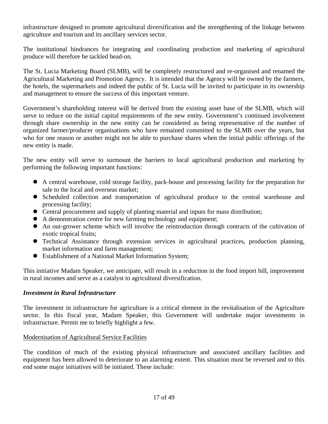infrastructure designed to promote agricultural diversification and the strengthening of the linkage between agriculture and tourism and its ancillary services sector.

The institutional hindrances for integrating and coordinating production and marketing of agricultural produce will therefore be tackled head-on.

The St. Lucia Marketing Board (SLMB), will be completely restructured and re-organised and renamed the Agricultural Marketing and Promotion Agency. It is intended that the Agency will be owned by the farmers, the hotels, the supermarkets and indeed the public of St. Lucia will be invited to participate in its ownership and management to ensure the success of this important venture.

Government's shareholding interest will be derived from the existing asset base of the SLMB, which will serve to reduce on the initial capital requirements of the new entity. Government's continued involvement through share ownership in the new entity can be considered as being representative of the number of organized farmer/producer organisations who have remained committed to the SLMB over the years, but who for one reason or another might not be able to purchase shares when the initial public offerings of the new entity is made.

The new entity will serve to surmount the barriers to local agricultural production and marketing by performing the following important functions:

- A central warehouse, cold storage facility, pack-house and processing facility for the preparation for sale to the local and overseas market;
- Scheduled collection and transportation of agricultural produce to the central warehouse and processing facility;
- Central procurement and supply of planting material and inputs for mass distribution;
- A demonstration centre for new farming technology and equipment;
- An out-grower scheme which will involve the reintroduction through contracts of the cultivation of exotic tropical fruits;
- Technical Assistance through extension services in agricultural practices, production planning, market information and farm management;
- Establishment of a National Market Information System;

This initiative Madam Speaker, we anticipate, will result in a reduction in the food import bill, improvement in rural incomes and serve as a catalyst to agricultural diversification.

# *Investment in Rural Infrastructure*

The investment in infrastructure for agriculture is a critical element in the revitalisation of the Agriculture sector. In this fiscal year, Madam Speaker, this Government will undertake major investments in infrastructure. Permit me to briefly highlight a few.

# Modernisation of Agricultural Service Facilities

The condition of much of the existing physical infrastructure and associated ancillary facilities and equipment has been allowed to deteriorate to an alarming extent. This situation must be reversed and to this end some major initiatives will be initiated. These include: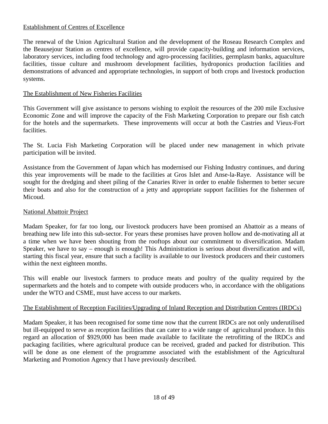## Establishment of Centres of Excellence

The renewal of the Union Agricultural Station and the development of the Roseau Research Complex and the Beausejour Station as centres of excellence, will provide capacity-building and information services, laboratory services, including food technology and agro-processing facilities, germplasm banks, aquaculture facilities, tissue culture and mushroom development facilities, hydroponics production facilities and demonstrations of advanced and appropriate technologies, in support of both crops and livestock production systems.

## The Establishment of New Fisheries Facilities

This Government will give assistance to persons wishing to exploit the resources of the 200 mile Exclusive Economic Zone and will improve the capacity of the Fish Marketing Corporation to prepare our fish catch for the hotels and the supermarkets. These improvements will occur at both the Castries and Vieux-Fort facilities.

The St. Lucia Fish Marketing Corporation will be placed under new management in which private participation will be invited.

Assistance from the Government of Japan which has modernised our Fishing Industry continues, and during this year improvements will be made to the facilities at Gros Islet and Anse-la-Raye. Assistance will be sought for the dredging and sheet piling of the Canaries River in order to enable fishermen to better secure their boats and also for the construction of a jetty and appropriate support facilities for the fishermen of Micoud.

## National Abattoir Project

Madam Speaker, for far too long, our livestock producers have been promised an Abattoir as a means of breathing new life into this sub-sector. For years these promises have proven hollow and de-motivating all at a time when we have been shouting from the rooftops about our commitment to diversification. Madam Speaker, we have to say – enough is enough! This Administration is serious about diversification and will, starting this fiscal year, ensure that such a facility is available to our livestock producers and their customers within the next eighteen months.

This will enable our livestock farmers to produce meats and poultry of the quality required by the supermarkets and the hotels and to compete with outside producers who, in accordance with the obligations under the WTO and CSME, must have access to our markets.

# The Establishment of Reception Facilities/Upgrading of Inland Reception and Distribution Centres (IRDCs)

Madam Speaker, it has been recognised for some time now that the current IRDCs are not only underutilised but ill-equipped to serve as reception facilities that can cater to a wide range of agricultural produce. In this regard an allocation of \$929,000 has been made available to facilitate the retrofitting of the IRDCs and packaging facilities, where agricultural produce can be received, graded and packed for distribution. This will be done as one element of the programme associated with the establishment of the Agricultural Marketing and Promotion Agency that I have previously described.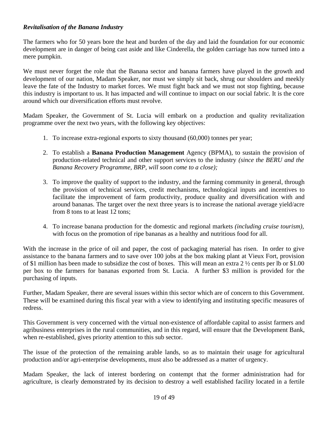# *Revitalisation of the Banana Industry*

The farmers who for 50 years bore the heat and burden of the day and laid the foundation for our economic development are in danger of being cast aside and like Cinderella, the golden carriage has now turned into a mere pumpkin.

We must never forget the role that the Banana sector and banana farmers have played in the growth and development of our nation, Madam Speaker, nor must we simply sit back, shrug our shoulders and meekly leave the fate of the Industry to market forces. We must fight back and we must not stop fighting, because this industry is important to us. It has impacted and will continue to impact on our social fabric. It is the core around which our diversification efforts must revolve.

Madam Speaker, the Government of St. Lucia will embark on a production and quality revitalization programme over the next two years, with the following key objectives:

- 1. To increase extra-regional exports to sixty thousand (60,000) tonnes per year;
- 2. To establish a **Banana Production Management** Agency (BPMA), to sustain the provision of production-related technical and other support services to the industry *(since the BERU and the Banana Recovery Programme, BRP, will soon come to a close);*
- 3. To improve the quality of support to the industry, and the farming community in general, through the provision of technical services, credit mechanisms, technological inputs and incentives to facilitate the improvement of farm productivity, produce quality and diversification with and around bananas. The target over the next three years is to increase the national average yield/acre from 8 tons to at least 12 tons;
- 4. To increase banana production for the domestic and regional markets *(including cruise tourism),* with focus on the promotion of ripe bananas as a healthy and nutritious food for all.

With the increase in the price of oil and paper, the cost of packaging material has risen. In order to give assistance to the banana farmers and to save over 100 jobs at the box making plant at Vieux Fort, provision of \$1 million has been made to subsidize the cost of boxes. This will mean an extra 2 ½ cents per lb or \$1.00 per box to the farmers for bananas exported from St. Lucia. A further \$3 million is provided for the purchasing of inputs.

Further, Madam Speaker, there are several issues within this sector which are of concern to this Government. These will be examined during this fiscal year with a view to identifying and instituting specific measures of redress.

This Government is very concerned with the virtual non-existence of affordable capital to assist farmers and agribusiness enterprises in the rural communities, and in this regard, will ensure that the Development Bank, when re-established, gives priority attention to this sub sector.

The issue of the protection of the remaining arable lands, so as to maintain their usage for agricultural production and/or agri-enterprise developments, must also be addressed as a matter of urgency.

Madam Speaker, the lack of interest bordering on contempt that the former administration had for agriculture, is clearly demonstrated by its decision to destroy a well established facility located in a fertile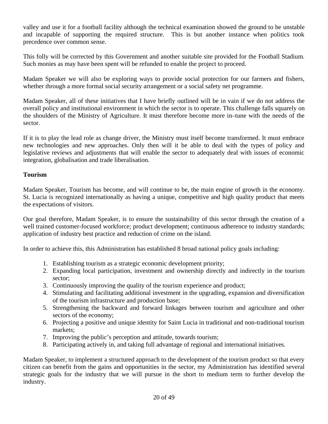valley and use it for a football facility although the technical examination showed the ground to be unstable and incapable of supporting the required structure. This is but another instance when politics took precedence over common sense.

This folly will be corrected by this Government and another suitable site provided for the Football Stadium. Such monies as may have been spent will be refunded to enable the project to proceed.

Madam Speaker we will also be exploring ways to provide social protection for our farmers and fishers, whether through a more formal social security arrangement or a social safety net programme.

Madam Speaker, all of these initiatives that I have briefly outlined will be in vain if we do not address the overall policy and institutional environment in which the sector is to operate. This challenge falls squarely on the shoulders of the Ministry of Agriculture. It must therefore become more in–tune with the needs of the sector.

If it is to play the lead role as change driver, the Ministry must itself become transformed. It must embrace new technologies and new approaches. Only then will it be able to deal with the types of policy and legislative reviews and adjustments that will enable the sector to adequately deal with issues of economic integration, globalisation and trade liberalisation.

## **Tourism**

Madam Speaker, Tourism has become, and will continue to be, the main engine of growth in the economy. St. Lucia is recognized internationally as having a unique, competitive and high quality product that meets the expectations of visitors.

Our goal therefore, Madam Speaker, is to ensure the sustainability of this sector through the creation of a well trained customer-focused workforce; product development; continuous adherence to industry standards; application of industry best practice and reduction of crime on the island.

In order to achieve this, this Administration has established 8 broad national policy goals including:

- 1. Establishing tourism as a strategic economic development priority;
- 2. Expanding local participation, investment and ownership directly and indirectly in the tourism sector;
- 3. Continuously improving the quality of the tourism experience and product;
- 4. Stimulating and facilitating additional investment in the upgrading, expansion and diversification of the tourism infrastructure and production base;
- 5. Strengthening the backward and forward linkages between tourism and agriculture and other sectors of the economy;
- 6. Projecting a positive and unique identity for Saint Lucia in traditional and non-traditional tourism markets;
- 7. Improving the public's perception and attitude, towards tourism;
- 8. Participating actively in, and taking full advantage of regional and international initiatives.

Madam Speaker, to implement a structured approach to the development of the tourism product so that every citizen can benefit from the gains and opportunities in the sector, my Administration has identified several strategic goals for the industry that we will pursue in the short to medium term to further develop the industry.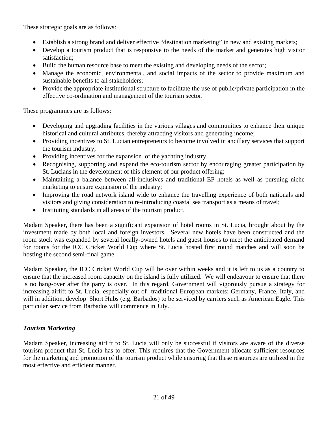These strategic goals are as follows:

- Establish a strong brand and deliver effective "destination marketing" in new and existing markets;
- Develop a tourism product that is responsive to the needs of the market and generates high visitor satisfaction;
- Build the human resource base to meet the existing and developing needs of the sector;
- Manage the economic, environmental, and social impacts of the sector to provide maximum and sustainable benefits to all stakeholders;
- Provide the appropriate institutional structure to facilitate the use of public/private participation in the effective co-ordination and management of the tourism sector.

These programmes are as follows:

- Developing and upgrading facilities in the various villages and communities to enhance their unique historical and cultural attributes, thereby attracting visitors and generating income;
- Providing incentives to St. Lucian entrepreneurs to become involved in ancillary services that support the tourism industry;
- Providing incentives for the expansion of the yachting industry
- Recognising, supporting and expand the eco-tourism sector by encouraging greater participation by St. Lucians in the development of this element of our product offering;
- Maintaining a balance between all-inclusives and traditional EP hotels as well as pursuing niche marketing to ensure expansion of the industry;
- Improving the road network island wide to enhance the travelling experience of both nationals and visitors and giving consideration to re-introducing coastal sea transport as a means of travel;
- Instituting standards in all areas of the tourism product.

Madam Speaker**,** there has been a significant expansion of hotel rooms in St. Lucia, brought about by the investment made by both local and foreign investors. Several new hotels have been constructed and the room stock was expanded by several locally-owned hotels and guest houses to meet the anticipated demand for rooms for the ICC Cricket World Cup where St. Lucia hosted first round matches and will soon be hosting the second semi-final game.

Madam Speaker, the ICC Cricket World Cup will be over within weeks and it is left to us as a country to ensure that the increased room capacity on the island is fully utilized. We will endeavour to ensure that there is no hang-over after the party is over. In this regard, Government will vigorously pursue a strategy for increasing airlift to St. Lucia, especially out of traditional European markets; Germany, France, Italy, and will in addition, develop Short Hubs (e.g. Barbados) to be serviced by carriers such as American Eagle. This particular service from Barbados will commence in July.

# *Tourism Marketing*

Madam Speaker, increasing airlift to St. Lucia will only be successful if visitors are aware of the diverse tourism product that St. Lucia has to offer. This requires that the Government allocate sufficient resources for the marketing and promotion of the tourism product while ensuring that these resources are utilized in the most effective and efficient manner.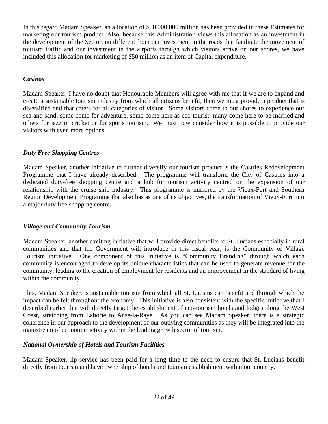In this regard Madam Speaker, an allocation of \$50,000,000 million has been provided in these Estimates for marketing our tourism product. Also, because this Administration views this allocation as an investment in the development of the Sector, no different from our investment in the roads that facilitate the movement of tourism traffic and our investment in the airports through which visitors arrive on our shores, we have included this allocation for marketing of \$50 million as an item of Capital expenditure.

# *Casinos*

Madam Speaker, I have no doubt that Honourable Members will agree with me that if we are to expand and create a sustainable tourism industry from which all citizens benefit, then we must provide a product that is diversified and that caters for all categories of visitor. Some visitors come to our shores to experience our sea and sand, some come for adventure, some come here as eco-tourist; many come here to be married and others for jazz or cricket or for sports tourism. We must now consider how it is possible to provide our visitors with even more options.

# *Duty Free Shopping Centres*

Madam Speaker, another initiative to further diversify our tourism product is the Castries Redevelopment Programme that I have already described. The programme will transform the City of Castries into a dedicated duty-free shopping centre and a hub for tourism activity centred on the expansion of our relationship with the cruise ship industry. This programme is mirrored by the Vieux-Fort and Southern Region Development Programme that also has as one of its objectives, the transformation of Vieux-Fort into a major duty free shopping centre.

# *Village and Community Tourism*

Madam Speaker, another exciting initiative that will provide direct benefits to St. Lucians especially in rural communities and that the Government will introduce in this fiscal year, is the Community or Village Tourism initiative. One component of this initiative is "Community Branding" through which each community is encouraged to develop its unique characteristics that can be used to generate revenue for the community, leading to the creation of employment for residents and an improvement in the standard of living within the community.

This, Madam Speaker, is sustainable tourism from which all St. Lucians can benefit and through which the impact can be felt throughout the economy. This initiative is also consistent with the specific initiative that I described earlier that will directly target the establishment of eco-tourism hotels and lodges along the West Coast, stretching from Laborie to Anse-la-Raye. As you can see Madam Speaker, there is a strategic coherence in our approach to the development of our outlying communities as they will be integrated into the mainstream of economic activity within the leading growth sector of tourism.

# *National Ownership of Hotels and Tourism Facilities*

Madam Speaker, lip service has been paid for a long time to the need to ensure that St. Lucians benefit directly from tourism and have ownership of hotels and tourism establishment within our country.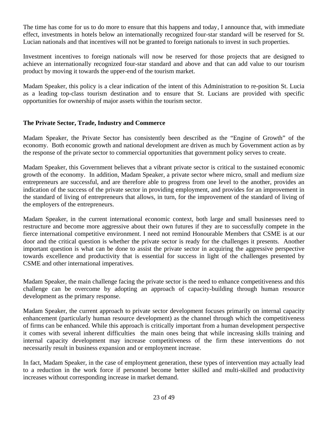The time has come for us to do more to ensure that this happens and today, I announce that, with immediate effect, investments in hotels below an internationally recognized four-star standard will be reserved for St. Lucian nationals and that incentives will not be granted to foreign nationals to invest in such properties.

Investment incentives to foreign nationals will now be reserved for those projects that are designed to achieve an internationally recognized four-star standard and above and that can add value to our tourism product by moving it towards the upper-end of the tourism market.

Madam Speaker, this policy is a clear indication of the intent of this Administration to re-position St. Lucia as a leading top-class tourism destination and to ensure that St. Lucians are provided with specific opportunities for ownership of major assets within the tourism sector.

## **The Private Sector, Trade, Industry and Commerce**

Madam Speaker, the Private Sector has consistently been described as the "Engine of Growth" of the economy. Both economic growth and national development are driven as much by Government action as by the response of the private sector to commercial opportunities that government policy serves to create.

Madam Speaker, this Government believes that a vibrant private sector is critical to the sustained economic growth of the economy. In addition, Madam Speaker, a private sector where micro, small and medium size entrepreneurs are successful, and are therefore able to progress from one level to the another, provides an indication of the success of the private sector in providing employment, and provides for an improvement in the standard of living of entrepreneurs that allows, in turn, for the improvement of the standard of living of the employers of the entrepreneurs.

Madam Speaker, in the current international economic context, both large and small businesses need to restructure and become more aggressive about their own futures if they are to successfully compete in the fierce international competitive environment. I need not remind Honourable Members that CSME is at our door and the critical question is whether the private sector is ready for the challenges it presents. Another important question is what can be done to assist the private sector in acquiring the aggressive perspective towards excellence and productivity that is essential for success in light of the challenges presented by CSME and other international imperatives.

Madam Speaker, the main challenge facing the private sector is the need to enhance competitiveness and this challenge can be overcome by adopting an approach of capacity-building through human resource development as the primary response.

Madam Speaker, the current approach to private sector development focuses primarily on internal capacity enhancement (particularly human resource development) as the channel through which the competitiveness of firms can be enhanced. While this approach is critically important from a human development perspective it comes with several inherent difficulties the main ones being that while increasing skills training and internal capacity development may increase competitiveness of the firm these interventions do not necessarily result in business expansion and or employment increase.

In fact, Madam Speaker, in the case of employment generation, these types of intervention may actually lead to a reduction in the work force if personnel become better skilled and multi-skilled and productivity increases without corresponding increase in market demand.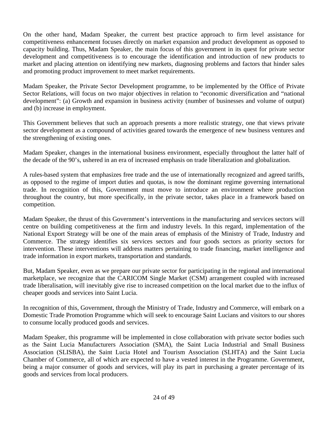On the other hand, Madam Speaker, the current best practice approach to firm level assistance for competitiveness enhancement focuses directly on market expansion and product development as opposed to capacity building. Thus, Madam Speaker, the main focus of this government in its quest for private sector development and competitiveness is to encourage the identification and introduction of new products to market and placing attention on identifying new markets, diagnosing problems and factors that hinder sales and promoting product improvement to meet market requirements.

Madam Speaker, the Private Sector Development programme, to be implemented by the Office of Private Sector Relations, will focus on two major objectives in relation to "economic diversification and "national development": (a) Growth and expansion in business activity (number of businesses and volume of output) and (b) increase in employment.

This Government believes that such an approach presents a more realistic strategy, one that views private sector development as a compound of activities geared towards the emergence of new business ventures and the strengthening of existing ones.

Madam Speaker, changes in the international business environment, especially throughout the latter half of the decade of the 90's, ushered in an era of increased emphasis on trade liberalization and globalization.

A rules-based system that emphasizes free trade and the use of internationally recognized and agreed tariffs, as opposed to the regime of import duties and quotas, is now the dominant regime governing international trade. In recognition of this, Government must move to introduce an environment where production throughout the country, but more specifically, in the private sector, takes place in a framework based on competition.

Madam Speaker, the thrust of this Government's interventions in the manufacturing and services sectors will centre on building competitiveness at the firm and industry levels. In this regard, implementation of the National Export Strategy will be one of the main areas of emphasis of the Ministry of Trade, Industry and Commerce. The strategy identifies six services sectors and four goods sectors as priority sectors for intervention. These interventions will address matters pertaining to trade financing, market intelligence and trade information in export markets, transportation and standards.

But, Madam Speaker, even as we prepare our private sector for participating in the regional and international marketplace, we recognize that the CARICOM Single Market (CSM) arrangement coupled with increased trade liberalisation, will inevitably give rise to increased competition on the local market due to the influx of cheaper goods and services into Saint Lucia.

In recognition of this, Government, through the Ministry of Trade, Industry and Commerce, will embark on a Domestic Trade Promotion Programme which will seek to encourage Saint Lucians and visitors to our shores to consume locally produced goods and services.

Madam Speaker, this programme will be implemented in close collaboration with private sector bodies such as the Saint Lucia Manufacturers Association (SMA), the Saint Lucia Industrial and Small Business Association (SLISBA), the Saint Lucia Hotel and Tourism Association (SLHTA) and the Saint Lucia Chamber of Commerce, all of which are expected to have a vested interest in the Programme. Government, being a major consumer of goods and services, will play its part in purchasing a greater percentage of its goods and services from local producers.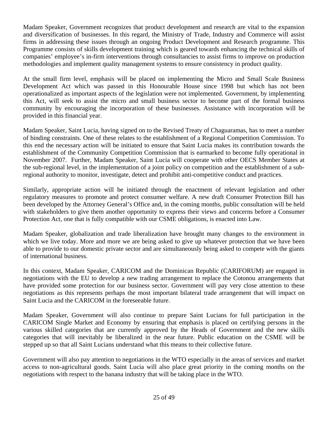Madam Speaker, Government recognizes that product development and research are vital to the expansion and diversification of businesses. In this regard, the Ministry of Trade, Industry and Commerce will assist firms in addressing these issues through an ongoing Product Development and Research programme. This Programme consists of skills development training which is geared towards enhancing the technical skills of companies' employee's in-firm interventions through consultancies to assist firms to improve on production methodologies and implement quality management systems to ensure consistency in product quality.

At the small firm level, emphasis will be placed on implementing the Micro and Small Scale Business Development Act which was passed in this Honourable House since 1998 but which has not been operationalized as important aspects of the legislation were not implemented. Government, by implementing this Act, will seek to assist the micro and small business sector to become part of the formal business community by encouraging the incorporation of these businesses. Assistance with incorporation will be provided in this financial year.

Madam Speaker, Saint Lucia, having signed on to the Revised Treaty of Chaguaramas, has to meet a number of binding constraints. One of these relates to the establishment of a Regional Competition Commission. To this end the necessary action will be initiated to ensure that Saint Lucia makes its contribution towards the establishment of the Community Competition Commission that is earmarked to become fully operational in November 2007. Further, Madam Speaker, Saint Lucia will cooperate with other OECS Member States at the sub-regional level, in the implementation of a joint policy on competition and the establishment of a subregional authority to monitor, investigate, detect and prohibit anti-competitive conduct and practices.

Similarly, appropriate action will be initiated through the enactment of relevant legislation and other regulatory measures to promote and protect consumer welfare. A new draft Consumer Protection Bill has been developed by the Attorney General's Office and, in the coming months, public consultation will be held with stakeholders to give them another opportunity to express their views and concerns before a Consumer Protection Act, one that is fully compatible with our CSME obligations, is enacted into Law.

Madam Speaker, globalization and trade liberalization have brought many changes to the environment in which we live today. More and more we are being asked to give up whatever protection that we have been able to provide to our domestic private sector and are simultaneously being asked to compete with the giants of international business.

In this context, Madam Speaker, CARICOM and the Dominican Republic (CARIFORUM) are engaged in negotiations with the EU to develop a new trading arrangement to replace the Cotonou arrangements that have provided some protection for our business sector. Government will pay very close attention to these negotiations as this represents perhaps the most important bilateral trade arrangement that will impact on Saint Lucia and the CARICOM in the foreseeable future.

Madam Speaker, Government will also continue to prepare Saint Lucians for full participation in the CARICOM Single Market and Economy by ensuring that emphasis is placed on certifying persons in the various skilled categories that are currently approved by the Heads of Government and the new skills categories that will inevitably be liberalized in the near future. Public education on the CSME will be stepped up so that all Saint Lucians understand what this means to their collective future.

Government will also pay attention to negotiations in the WTO especially in the areas of services and market access to non-agricultural goods. Saint Lucia will also place great priority in the coming months on the negotiations with respect to the banana industry that will be taking place in the WTO.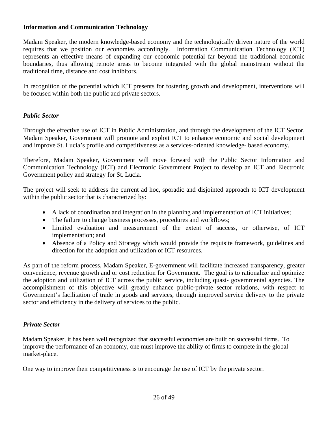# **Information and Communication Technology**

Madam Speaker, the modern knowledge-based economy and the technologically driven nature of the world requires that we position our economies accordingly. Information Communication Technology (ICT) represents an effective means of expanding our economic potential far beyond the traditional economic boundaries, thus allowing remote areas to become integrated with the global mainstream without the traditional time, distance and cost inhibitors.

In recognition of the potential which ICT presents for fostering growth and development, interventions will be focused within both the public and private sectors.

## *Public Sector*

Through the effective use of ICT in Public Administration, and through the development of the ICT Sector, Madam Speaker, Government will promote and exploit ICT to enhance economic and social development and improve St. Lucia's profile and competitiveness as a services-oriented knowledge- based economy.

Therefore, Madam Speaker, Government will move forward with the Public Sector Information and Communication Technology (ICT) and Electronic Government Project to develop an ICT and Electronic Government policy and strategy for St. Lucia.

The project will seek to address the current ad hoc, sporadic and disjointed approach to ICT development within the public sector that is characterized by:

- A lack of coordination and integration in the planning and implementation of ICT initiatives;
- The failure to change business processes, procedures and workflows;
- Limited evaluation and measurement of the extent of success, or otherwise, of ICT implementation; and
- Absence of a Policy and Strategy which would provide the requisite framework, guidelines and direction for the adoption and utilization of ICT resources.

As part of the reform process, Madam Speaker, E-government will facilitate increased transparency, greater convenience, revenue growth and or cost reduction for Government. The goal is to rationalize and optimize the adoption and utilization of ICT across the public service, including quasi- governmental agencies. The accomplishment of this objective will greatly enhance public-private sector relations, with respect to Government's facilitation of trade in goods and services, through improved service delivery to the private sector and efficiency in the delivery of services to the public.

#### *Private Sector*

Madam Speaker, it has been well recognized that successful economies are built on successful firms. To improve the performance of an economy, one must improve the ability of firms to compete in the global market-place.

One way to improve their competitiveness is to encourage the use of ICT by the private sector.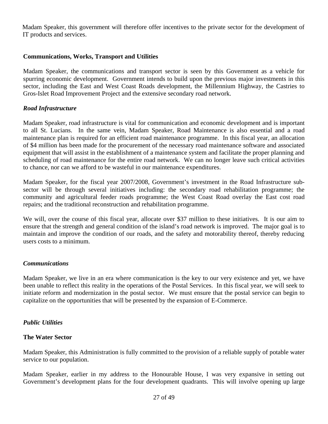Madam Speaker, this government will therefore offer incentives to the private sector for the development of IT products and services.

## **Communications, Works, Transport and Utilities**

Madam Speaker, the communications and transport sector is seen by this Government as a vehicle for spurring economic development. Government intends to build upon the previous major investments in this sector, including the East and West Coast Roads development, the Millennium Highway, the Castries to Gros-Islet Road Improvement Project and the extensive secondary road network.

#### *Road Infrastructure*

Madam Speaker, road infrastructure is vital for communication and economic development and is important to all St. Lucians. In the same vein, Madam Speaker, Road Maintenance is also essential and a road maintenance plan is required for an efficient road maintenance programme. In this fiscal year, an allocation of \$4 million has been made for the procurement of the necessary road maintenance software and associated equipment that will assist in the establishment of a maintenance system and facilitate the proper planning and scheduling of road maintenance for the entire road network. We can no longer leave such critical activities to chance, nor can we afford to be wasteful in our maintenance expenditures.

Madam Speaker, for the fiscal year 2007/2008, Government's investment in the Road Infrastructure subsector will be through several initiatives including: the secondary road rehabilitation programme; the community and agricultural feeder roads programme; the West Coast Road overlay the East cost road repairs; and the traditional reconstruction and rehabilitation programme.

We will, over the course of this fiscal year, allocate over \$37 million to these initiatives. It is our aim to ensure that the strength and general condition of the island's road network is improved. The major goal is to maintain and improve the condition of our roads, and the safety and motorability thereof, thereby reducing users costs to a minimum.

#### *Communications*

Madam Speaker, we live in an era where communication is the key to our very existence and yet, we have been unable to reflect this reality in the operations of the Postal Services. In this fiscal year, we will seek to initiate reform and modernization in the postal sector. We must ensure that the postal service can begin to capitalize on the opportunities that will be presented by the expansion of E-Commerce.

#### *Public Utilities*

#### **The Water Sector**

Madam Speaker, this Administration is fully committed to the provision of a reliable supply of potable water service to our population.

Madam Speaker, earlier in my address to the Honourable House, I was very expansive in setting out Government's development plans for the four development quadrants. This will involve opening up large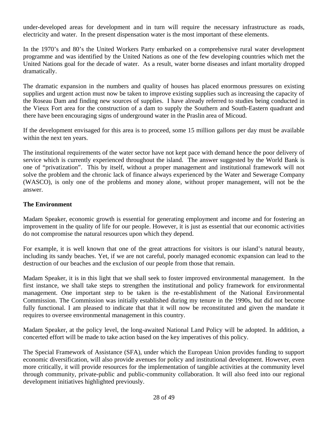under-developed areas for development and in turn will require the necessary infrastructure as roads, electricity and water. In the present dispensation water is the most important of these elements.

In the 1970's and 80's the United Workers Party embarked on a comprehensive rural water development programme and was identified by the United Nations as one of the few developing countries which met the United Nations goal for the decade of water. As a result, water borne diseases and infant mortality dropped dramatically.

The dramatic expansion in the numbers and quality of houses has placed enormous pressures on existing supplies and urgent action must now be taken to improve existing supplies such as increasing the capacity of the Roseau Dam and finding new sources of supplies. I have already referred to studies being conducted in the Vieux Fort area for the construction of a dam to supply the Southern and South-Eastern quadrant and there have been encouraging signs of underground water in the Praslin area of Micoud.

If the development envisaged for this area is to proceed, some 15 million gallons per day must be available within the next ten years.

The institutional requirements of the water sector have not kept pace with demand hence the poor delivery of service which is currently experienced throughout the island. The answer suggested by the World Bank is one of "privatization". This by itself, without a proper management and institutional framework will not solve the problem and the chronic lack of finance always experienced by the Water and Sewerage Company (WASCO), is only one of the problems and money alone, without proper management, will not be the answer.

# **The Environment**

Madam Speaker, economic growth is essential for generating employment and income and for fostering an improvement in the quality of life for our people. However, it is just as essential that our economic activities do not compromise the natural resources upon which they depend.

For example, it is well known that one of the great attractions for visitors is our island's natural beauty, including its sandy beaches. Yet, if we are not careful, poorly managed economic expansion can lead to the destruction of our beaches and the exclusion of our people from those that remain.

Madam Speaker, it is in this light that we shall seek to foster improved environmental management. In the first instance, we shall take steps to strengthen the institutional and policy framework for environmental management. One important step to be taken is the re-establishment of the National Environmental Commission. The Commission was initially established during my tenure in the 1990s, but did not become fully functional. I am pleased to indicate that that it will now be reconstituted and given the mandate it requires to oversee environmental management in this country.

Madam Speaker, at the policy level, the long-awaited National Land Policy will be adopted. In addition, a concerted effort will be made to take action based on the key imperatives of this policy.

The Special Framework of Assistance (SFA), under which the European Union provides funding to support economic diversification, will also provide avenues for policy and institutional development. However, even more critically, it will provide resources for the implementation of tangible activities at the community level through community, private-public and public-community collaboration. It will also feed into our regional development initiatives highlighted previously.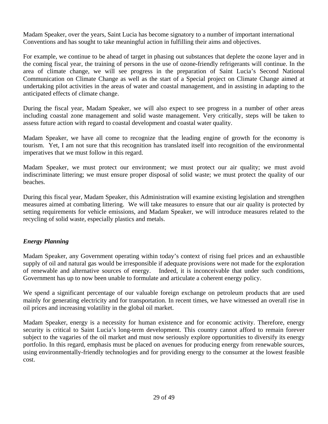Madam Speaker, over the years, Saint Lucia has become signatory to a number of important international Conventions and has sought to take meaningful action in fulfilling their aims and objectives.

For example, we continue to be ahead of target in phasing out substances that deplete the ozone layer and in the coming fiscal year, the training of persons in the use of ozone-friendly refrigerants will continue. In the area of climate change, we will see progress in the preparation of Saint Lucia's Second National Communication on Climate Change as well as the start of a Special project on Climate Change aimed at undertaking pilot activities in the areas of water and coastal management, and in assisting in adapting to the anticipated effects of climate change.

During the fiscal year, Madam Speaker, we will also expect to see progress in a number of other areas including coastal zone management and solid waste management. Very critically, steps will be taken to assess future action with regard to coastal development and coastal water quality.

Madam Speaker, we have all come to recognize that the leading engine of growth for the economy is tourism. Yet, I am not sure that this recognition has translated itself into recognition of the environmental imperatives that we must follow in this regard.

Madam Speaker, we must protect our environment; we must protect our air quality; we must avoid indiscriminate littering; we must ensure proper disposal of solid waste; we must protect the quality of our beaches.

During this fiscal year, Madam Speaker, this Administration will examine existing legislation and strengthen measures aimed at combating littering. We will take measures to ensure that our air quality is protected by setting requirements for vehicle emissions, and Madam Speaker, we will introduce measures related to the recycling of solid waste, especially plastics and metals.

# *Energy Planning*

Madam Speaker, any Government operating within today's context of rising fuel prices and an exhaustible supply of oil and natural gas would be irresponsible if adequate provisions were not made for the exploration of renewable and alternative sources of energy. Indeed, it is inconceivable that under such conditions, Government has up to now been unable to formulate and articulate a coherent energy policy.

We spend a significant percentage of our valuable foreign exchange on petroleum products that are used mainly for generating electricity and for transportation. In recent times, we have witnessed an overall rise in oil prices and increasing volatility in the global oil market.

Madam Speaker, energy is a necessity for human existence and for economic activity. Therefore, energy security is critical to Saint Lucia's long-term development. This country cannot afford to remain forever subject to the vagaries of the oil market and must now seriously explore opportunities to diversify its energy portfolio. In this regard, emphasis must be placed on avenues for producing energy from renewable sources, using environmentally-friendly technologies and for providing energy to the consumer at the lowest feasible cost.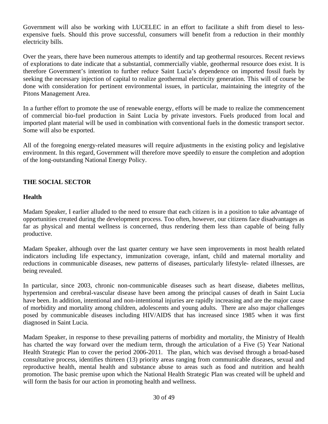Government will also be working with LUCELEC in an effort to facilitate a shift from diesel to lessexpensive fuels. Should this prove successful, consumers will benefit from a reduction in their monthly electricity bills.

Over the years, there have been numerous attempts to identify and tap geothermal resources. Recent reviews of explorations to date indicate that a substantial, commercially viable, geothermal resource does exist. It is therefore Government's intention to further reduce Saint Lucia's dependence on imported fossil fuels by seeking the necessary injection of capital to realize geothermal electricity generation. This will of course be done with consideration for pertinent environmental issues, in particular, maintaining the integrity of the Pitons Management Area.

In a further effort to promote the use of renewable energy, efforts will be made to realize the commencement of commercial bio-fuel production in Saint Lucia by private investors. Fuels produced from local and imported plant material will be used in combination with conventional fuels in the domestic transport sector. Some will also be exported.

All of the foregoing energy-related measures will require adjustments in the existing policy and legislative environment. In this regard, Government will therefore move speedily to ensure the completion and adoption of the long-outstanding National Energy Policy.

# **THE SOCIAL SECTOR**

# **Health**

Madam Speaker, I earlier alluded to the need to ensure that each citizen is in a position to take advantage of opportunities created during the development process. Too often, however, our citizens face disadvantages as far as physical and mental wellness is concerned, thus rendering them less than capable of being fully productive.

Madam Speaker, although over the last quarter century we have seen improvements in most health related indicators including life expectancy, immunization coverage, infant, child and maternal mortality and reductions in communicable diseases, new patterns of diseases, particularly lifestyle- related illnesses, are being revealed.

In particular, since 2003, chronic non-communicable diseases such as heart disease, diabetes mellitus, hypertension and cerebral-vascular disease have been among the principal causes of death in Saint Lucia have been. In addition, intentional and non-intentional injuries are rapidly increasing and are the major cause of morbidity and mortality among children, adolescents and young adults. There are also major challenges posed by communicable diseases including HIV/AIDS that has increased since 1985 when it was first diagnosed in Saint Lucia.

Madam Speaker, in response to these prevailing patterns of morbidity and mortality, the Ministry of Health has charted the way forward over the medium term, through the articulation of a Five (5) Year National Health Strategic Plan to cover the period 2006-2011. The plan, which was devised through a broad-based consultative process, identifies thirteen (13) priority areas ranging from communicable diseases, sexual and reproductive health, mental health and substance abuse to areas such as food and nutrition and health promotion. The basic premise upon which the National Health Strategic Plan was created will be upheld and will form the basis for our action in promoting health and wellness.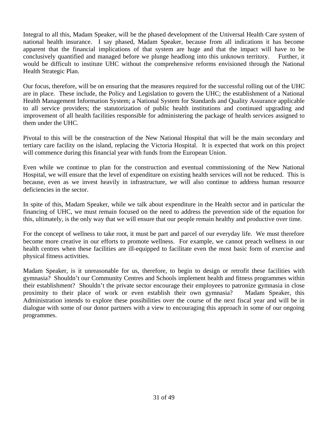Integral to all this, Madam Speaker, will be the phased development of the Universal Health Care system of national health insurance. I say phased, Madam Speaker, because from all indications it has become apparent that the financial implications of that system are huge and that the impact will have to be conclusively quantified and managed before we plunge headlong into this unknown territory. Further, it would be difficult to institute UHC without the comprehensive reforms envisioned through the National Health Strategic Plan.

Our focus, therefore, will be on ensuring that the measures required for the successful rolling out of the UHC are in place. These include, the Policy and Legislation to govern the UHC; the establishment of a National Health Management Information System; a National System for Standards and Quality Assurance applicable to all service providers; the statutorization of public health institutions and continued upgrading and improvement of all health facilities responsible for administering the package of health services assigned to them under the UHC.

Pivotal to this will be the construction of the New National Hospital that will be the main secondary and tertiary care facility on the island, replacing the Victoria Hospital. It is expected that work on this project will commence during this financial year with funds from the European Union.

Even while we continue to plan for the construction and eventual commissioning of the New National Hospital, we will ensure that the level of expenditure on existing health services will not be reduced. This is because, even as we invest heavily in infrastructure, we will also continue to address human resource deficiencies in the sector.

In spite of this, Madam Speaker, while we talk about expenditure in the Health sector and in particular the financing of UHC, we must remain focused on the need to address the prevention side of the equation for this, ultimately, is the only way that we will ensure that our people remain healthy and productive over time.

For the concept of wellness to take root, it must be part and parcel of our everyday life. We must therefore become more creative in our efforts to promote wellness. For example, we cannot preach wellness in our health centres when these facilities are ill-equipped to facilitate even the most basic form of exercise and physical fitness activities.

Madam Speaker, is it unreasonable for us, therefore, to begin to design or retrofit these facilities with gymnasia? Shouldn't our Community Centres and Schools implement health and fitness programmes within their establishment? Shouldn't the private sector encourage their employees to patronize gymnasia in close proximity to their place of work or even establish their own gymnasia? Madam Speaker, this Administration intends to explore these possibilities over the course of the next fiscal year and will be in dialogue with some of our donor partners with a view to encouraging this approach in some of our ongoing programmes.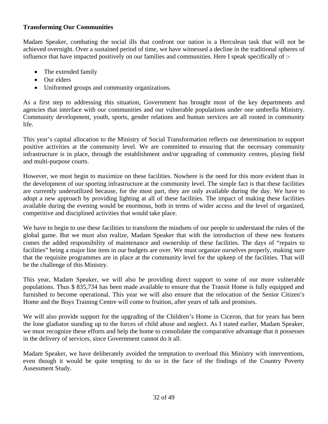# **Transforming Our Communities**

Madam Speaker, combating the social ills that confront our nation is a Herculean task that will not be achieved overnight. Over a sustained period of time, we have witnessed a decline in the traditional spheres of influence that have impacted positively on our families and communities. Here I speak specifically of :-

- The extended family
- Our elders
- Uniformed groups and community organizations.

As a first step to addressing this situation, Government has brought most of the key departments and agencies that interface with our communities and our vulnerable populations under one umbrella Ministry. Community development, youth, sports, gender relations and human services are all rooted in community life.

This year's capital allocation to the Ministry of Social Transformation reflects our determination to support positive activities at the community level. We are committed to ensuring that the necessary community infrastructure is in place, through the establishment and/or upgrading of community centres, playing field and multi-purpose courts.

However, we must begin to maximize on these facilities. Nowhere is the need for this more evident than in the development of our sporting infrastructure at the community level. The simple fact is that these facilities are currently underutilized because, for the most part, they are only available during the day. We have to adopt a new approach by providing lighting at all of these facilities. The impact of making these facilities available during the evening would be enormous, both in terms of wider access and the level of organized, competitive and disciplined activities that would take place.

We have to begin to use these facilities to transform the mindsets of our people to understand the rules of the global game. But we must also realize, Madam Speaker that with the introduction of these new features comes the added responsibility of maintenance and ownership of these facilities. The days of "repairs to facilities" being a major line item in our budgets are over. We must organize ourselves properly, making sure that the requisite programmes are in place at the community level for the upkeep of the facilities. That will be the challenge of this Ministry.

This year, Madam Speaker, we will also be providing direct support to some of our more vulnerable populations. Thus \$ 835,734 has been made available to ensure that the Transit Home is fully equipped and furnished to become operational. This year we will also ensure that the relocation of the Senior Citizen's Home and the Boys Training Centre will come to fruition, after years of talk and promises.

We will also provide support for the upgrading of the Children's Home in Ciceron, that for years has been the lone gladiator standing up to the forces of child abuse and neglect. As I stated earlier, Madam Speaker, we must recognize these efforts and help the home to consolidate the comparative advantage that it possesses in the delivery of services, since Government cannot do it all.

Madam Speaker, we have deliberately avoided the temptation to overload this Ministry with interventions, even though it would be quite tempting to do so in the face of the findings of the Country Poverty Assessment Study.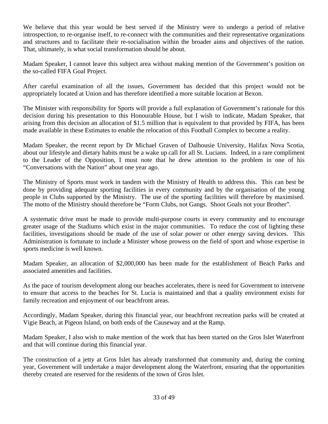We believe that this year would be best served if the Ministry were to undergo a period of relative introspection, to re-organise itself, to re-connect with the communities and their representative organizations and structures and to facilitate their re-socialisation within the broader aims and objectives of the nation. That, ultimately, is what social transformation should be about.

Madam Speaker, I cannot leave this subject area without making mention of the Government's position on the so-called FIFA Goal Project.

After careful examination of all the issues, Government has decided that this project would not be appropriately located at Union and has therefore identified a more suitable location at Bexon.

The Minister with responsibility for Sports will provide a full explanation of Government's rationale for this decision during his presentation to this Honourable House, but I wish to indicate, Madam Speaker, that arising from this decision an allocation of \$1.5 million that is equivalent to that provided by FIFA, has been made available in these Estimates to enable the relocation of this Football Complex to become a reality.

Madam Speaker, the recent report by Dr Michael Graven of Dalhousie University, Halifax Nova Scotia, about our lifestyle and dietary habits must be a wake up call for all St. Lucians. Indeed, in a rare compliment to the Leader of the Opposition, I must note that he drew attention to the problem in one of his "Conversations with the Nation" about one year ago.

The Ministry of Sports must work in tandem with the Ministry of Health to address this. This can best be done by providing adequate sporting facilities in every community and by the organisation of the young people in Clubs supported by the Ministry. The use of the sporting facilities will therefore by maximised. The motto of the Ministry should therefore be "Form Clubs, not Gangs. Shoot Goals not your Brother".

A systematic drive must be made to provide multi-purpose courts in every community and to encourage greater usage of the Stadiums which exist in the major communities. To reduce the cost of lighting these facilities, investigations should be made of the use of solar power or other energy saving devices. This Administration is fortunate to include a Minister whose prowess on the field of sport and whose expertise in sports medicine is well known.

Madam Speaker, an allocation of \$2,000,000 has been made for the establishment of Beach Parks and associated amenities and facilities.

As the pace of tourism development along our beaches accelerates, there is need for Government to intervene to ensure that access to the beaches for St. Lucia is maintained and that a quality environment exists for family recreation and enjoyment of our beachfront areas.

Accordingly, Madam Speaker, during this financial year, our beachfront recreation parks will be created at Vigie Beach, at Pigeon Island, on both ends of the Causeway and at the Ramp.

Madam Speaker, I also wish to make mention of the work that has been started on the Gros Islet Waterfront and that will continue during this financial year.

The construction of a jetty at Gros Islet has already transformed that community and, during the coming year, Government will undertake a major development along the Waterfront, ensuring that the opportunities thereby created are reserved for the residents of the town of Gros Islet.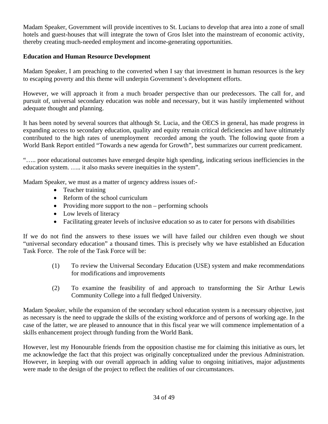Madam Speaker, Government will provide incentives to St. Lucians to develop that area into a zone of small hotels and guest-houses that will integrate the town of Gros Islet into the mainstream of economic activity, thereby creating much-needed employment and income-generating opportunities.

# **Education and Human Resource Development**

Madam Speaker, I am preaching to the converted when I say that investment in human resources is the key to escaping poverty and this theme will underpin Government's development efforts.

However, we will approach it from a much broader perspective than our predecessors. The call for, and pursuit of, universal secondary education was noble and necessary, but it was hastily implemented without adequate thought and planning.

It has been noted by several sources that although St. Lucia, and the OECS in general, has made progress in expanding access to secondary education, quality and equity remain critical deficiencies and have ultimately contributed to the high rates of unemployment recorded among the youth. The following quote from a World Bank Report entitled "Towards a new agenda for Growth", best summarizes our current predicament.

"….. poor educational outcomes have emerged despite high spending, indicating serious inefficiencies in the education system. ….. it also masks severe inequities in the system".

Madam Speaker, we must as a matter of urgency address issues of:-

- Teacher training
- Reform of the school curriculum
- Providing more support to the non performing schools
- Low levels of literacy
- Facilitating greater levels of inclusive education so as to cater for persons with disabilities

If we do not find the answers to these issues we will have failed our children even though we shout "universal secondary education" a thousand times. This is precisely why we have established an Education Task Force. The role of the Task Force will be:

- (1) To review the Universal Secondary Education (USE) system and make recommendations for modifications and improvements
- (2) To examine the feasibility of and approach to transforming the Sir Arthur Lewis Community College into a full fledged University.

Madam Speaker, while the expansion of the secondary school education system is a necessary objective, just as necessary is the need to upgrade the skills of the existing workforce and of persons of working age. In the case of the latter, we are pleased to announce that in this fiscal year we will commence implementation of a skills enhancement project through funding from the World Bank.

However, lest my Honourable friends from the opposition chastise me for claiming this initiative as ours, let me acknowledge the fact that this project was originally conceptualized under the previous Administration. However, in keeping with our overall approach in adding value to ongoing initiatives, major adjustments were made to the design of the project to reflect the realities of our circumstances.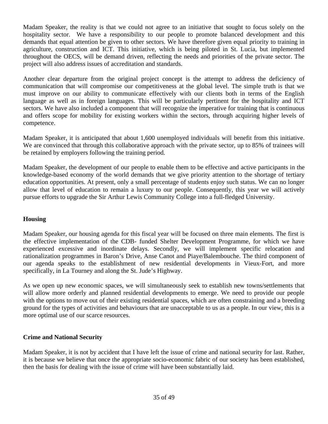Madam Speaker, the reality is that we could not agree to an initiative that sought to focus solely on the hospitality sector. We have a responsibility to our people to promote balanced development and this demands that equal attention be given to other sectors. We have therefore given equal priority to training in agriculture, construction and ICT. This initiative, which is being piloted in St. Lucia, but implemented throughout the OECS, will be demand driven, reflecting the needs and priorities of the private sector. The project will also address issues of accreditation and standards.

Another clear departure from the original project concept is the attempt to address the deficiency of communication that will compromise our competitiveness at the global level. The simple truth is that we must improve on our ability to communicate effectively with our clients both in terms of the English language as well as in foreign languages. This will be particularly pertinent for the hospitality and ICT sectors. We have also included a component that will recognize the imperative for training that is continuous and offers scope for mobility for existing workers within the sectors, through acquiring higher levels of competence.

Madam Speaker, it is anticipated that about 1,600 unemployed individuals will benefit from this initiative. We are convinced that through this collaborative approach with the private sector, up to 85% of trainees will be retained by employers following the training period.

Madam Speaker, the development of our people to enable them to be effective and active participants in the knowledge-based economy of the world demands that we give priority attention to the shortage of tertiary education opportunities. At present, only a small percentage of students enjoy such status. We can no longer allow that level of education to remain a luxury to our people. Consequently, this year we will actively pursue efforts to upgrade the Sir Arthur Lewis Community College into a full-fledged University.

# **Housing**

Madam Speaker, our housing agenda for this fiscal year will be focused on three main elements. The first is the effective implementation of the CDB- funded Shelter Development Programme, for which we have experienced excessive and inordinate delays. Secondly, we will implement specific relocation and rationalization programmes in Baron's Drive, Anse Canot and Piaye/Balembouche. The third component of our agenda speaks to the establishment of new residential developments in Vieux-Fort, and more specifically, in La Tourney and along the St. Jude's Highway.

As we open up new economic spaces, we will simultaneously seek to establish new towns/settlements that will allow more orderly and planned residential developments to emerge. We need to provide our people with the options to move out of their existing residential spaces, which are often constraining and a breeding ground for the types of activities and behaviours that are unacceptable to us as a people. In our view, this is a more optimal use of our scarce resources.

# **Crime and National Security**

Madam Speaker, it is not by accident that I have left the issue of crime and national security for last. Rather, it is because we believe that once the appropriate socio-economic fabric of our society has been established, then the basis for dealing with the issue of crime will have been substantially laid.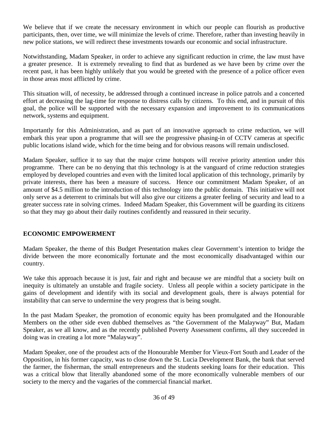We believe that if we create the necessary environment in which our people can flourish as productive participants, then, over time, we will minimize the levels of crime. Therefore, rather than investing heavily in new police stations, we will redirect these investments towards our economic and social infrastructure.

Notwithstanding, Madam Speaker, in order to achieve any significant reduction in crime, the law must have a greater presence. It is extremely revealing to find that as burdened as we have been by crime over the recent past, it has been highly unlikely that you would be greeted with the presence of a police officer even in those areas most afflicted by crime.

This situation will, of necessity, be addressed through a continued increase in police patrols and a concerted effort at decreasing the lag-time for response to distress calls by citizens. To this end, and in pursuit of this goal, the police will be supported with the necessary expansion and improvement to its communications network, systems and equipment.

Importantly for this Administration, and as part of an innovative approach to crime reduction, we will embark this year upon a programme that will see the progressive phasing-in of CCTV cameras at specific public locations island wide, which for the time being and for obvious reasons will remain undisclosed.

Madam Speaker, suffice it to say that the major crime hotspots will receive priority attention under this programme. There can be no denying that this technology is at the vanguard of crime reduction strategies employed by developed countries and even with the limited local application of this technology, primarily by private interests, there has been a measure of success. Hence our commitment Madam Speaker, of an amount of \$4.5 million to the introduction of this technology into the public domain. This initiative will not only serve as a deterrent to criminals but will also give our citizens a greater feeling of security and lead to a greater success rate in solving crimes. Indeed Madam Speaker, this Government will be guarding its citizens so that they may go about their daily routines confidently and reassured in their security.

# **ECONOMIC EMPOWERMENT**

Madam Speaker, the theme of this Budget Presentation makes clear Government's intention to bridge the divide between the more economically fortunate and the most economically disadvantaged within our country.

We take this approach because it is just, fair and right and because we are mindful that a society built on inequity is ultimately an unstable and fragile society. Unless all people within a society participate in the gains of development and identify with its social and development goals, there is always potential for instability that can serve to undermine the very progress that is being sought.

In the past Madam Speaker, the promotion of economic equity has been promulgated and the Honourable Members on the other side even dubbed themselves as "the Government of the Malayway" But, Madam Speaker, as we all know, and as the recently published Poverty Assessment confirms, all they succeeded in doing was in creating a lot more "Malayway".

Madam Speaker, one of the proudest acts of the Honourable Member for Vieux-Fort South and Leader of the Opposition, in his former capacity, was to close down the St. Lucia Development Bank, the bank that served the farmer, the fisherman, the small entrepreneurs and the students seeking loans for their education. This was a critical blow that literally abandoned some of the more economically vulnerable members of our society to the mercy and the vagaries of the commercial financial market.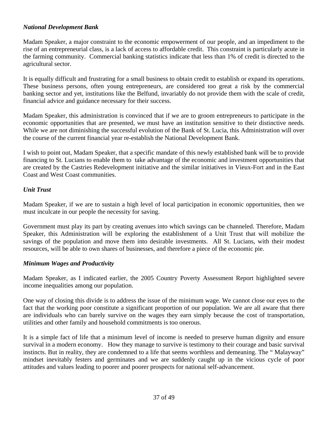# *National Development Bank*

Madam Speaker, a major constraint to the economic empowerment of our people, and an impediment to the rise of an entrepreneurial class, is a lack of access to affordable credit. This constraint is particularly acute in the farming community. Commercial banking statistics indicate that less than 1% of credit is directed to the agricultural sector.

It is equally difficult and frustrating for a small business to obtain credit to establish or expand its operations. These business persons, often young entrepreneurs, are considered too great a risk by the commercial banking sector and yet, institutions like the Belfund, invariably do not provide them with the scale of credit, financial advice and guidance necessary for their success.

Madam Speaker, this administration is convinced that if we are to groom entrepreneurs to participate in the economic opportunities that are presented, we must have an institution sensitive to their distinctive needs. While we are not diminishing the successful evolution of the Bank of St. Lucia, this Administration will over the course of the current financial year re-establish the National Development Bank.

I wish to point out, Madam Speaker, that a specific mandate of this newly established bank will be to provide financing to St. Lucians to enable them to take advantage of the economic and investment opportunities that are created by the Castries Redevelopment initiative and the similar initiatives in Vieux-Fort and in the East Coast and West Coast communities.

# *Unit Trust*

Madam Speaker, if we are to sustain a high level of local participation in economic opportunities, then we must inculcate in our people the necessity for saving.

Government must play its part by creating avenues into which savings can be channeled. Therefore, Madam Speaker, this Administration will be exploring the establishment of a Unit Trust that will mobilize the savings of the population and move them into desirable investments. All St. Lucians, with their modest resources, will be able to own shares of businesses, and therefore a piece of the economic pie.

# *Minimum Wages and Productivity*

Madam Speaker, as I indicated earlier, the 2005 Country Poverty Assessment Report highlighted severe income inequalities among our population.

One way of closing this divide is to address the issue of the minimum wage. We cannot close our eyes to the fact that the working poor constitute a significant proportion of our population. We are all aware that there are individuals who can barely survive on the wages they earn simply because the cost of transportation, utilities and other family and household commitments is too onerous.

It is a simple fact of life that a minimum level of income is needed to preserve human dignity and ensure survival in a modern economy. How they manage to survive is testimony to their courage and basic survival instincts. But in reality, they are condemned to a life that seems worthless and demeaning. The " Malayway" mindset inevitably festers and germinates and we are suddenly caught up in the vicious cycle of poor attitudes and values leading to poorer and poorer prospects for national self-advancement.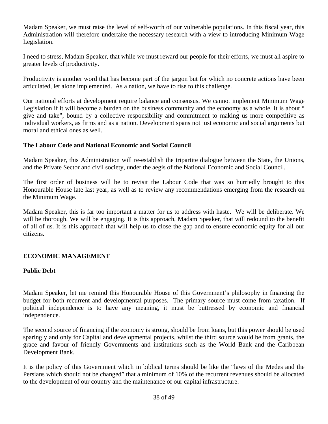Madam Speaker, we must raise the level of self-worth of our vulnerable populations. In this fiscal year, this Administration will therefore undertake the necessary research with a view to introducing Minimum Wage Legislation.

I need to stress, Madam Speaker, that while we must reward our people for their efforts, we must all aspire to greater levels of productivity.

Productivity is another word that has become part of the jargon but for which no concrete actions have been articulated, let alone implemented. As a nation, we have to rise to this challenge.

Our national efforts at development require balance and consensus. We cannot implement Minimum Wage Legislation if it will become a burden on the business community and the economy as a whole. It is about " give and take", bound by a collective responsibility and commitment to making us more competitive as individual workers, as firms and as a nation. Development spans not just economic and social arguments but moral and ethical ones as well.

## **The Labour Code and National Economic and Social Council**

Madam Speaker, this Administration will re-establish the tripartite dialogue between the State, the Unions, and the Private Sector and civil society, under the aegis of the National Economic and Social Council.

The first order of business will be to revisit the Labour Code that was so hurriedly brought to this Honourable House late last year, as well as to review any recommendations emerging from the research on the Minimum Wage.

Madam Speaker, this is far too important a matter for us to address with haste. We will be deliberate. We will be thorough. We will be engaging. It is this approach, Madam Speaker, that will redound to the benefit of all of us. It is this approach that will help us to close the gap and to ensure economic equity for all our citizens.

# **ECONOMIC MANAGEMENT**

#### **Public Debt**

Madam Speaker, let me remind this Honourable House of this Government's philosophy in financing the budget for both recurrent and developmental purposes. The primary source must come from taxation. If political independence is to have any meaning, it must be buttressed by economic and financial independence.

The second source of financing if the economy is strong, should be from loans, but this power should be used sparingly and only for Capital and developmental projects, whilst the third source would be from grants, the grace and favour of friendly Governments and institutions such as the World Bank and the Caribbean Development Bank.

It is the policy of this Government which in biblical terms should be like the "laws of the Medes and the Persians which should not be changed" that a minimum of 10% of the recurrent revenues should be allocated to the development of our country and the maintenance of our capital infrastructure.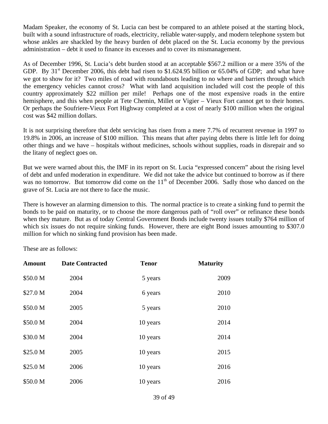Madam Speaker, the economy of St. Lucia can best be compared to an athlete poised at the starting block, built with a sound infrastructure of roads, electricity, reliable water-supply, and modern telephone system but whose ankles are shackled by the heavy burden of debt placed on the St. Lucia economy by the previous administration – debt it used to finance its excesses and to cover its mismanagement.

As of December 1996, St. Lucia's debt burden stood at an acceptable \$567.2 million or a mere 35% of the GDP. By  $31<sup>st</sup>$  December 2006, this debt had risen to \$1.624.95 billion or 65.04% of GDP; and what have we got to show for it? Two miles of road with roundabouts leading to no where and barriers through which the emergency vehicles cannot cross? What with land acquisition included will cost the people of this country approximately \$22 million per mile! Perhaps one of the most expensive roads in the entire hemisphere, and this when people at Tete Chemin, Millet or Vigier – Vieux Fort cannot get to their homes. Or perhaps the Soufriere-Vieux Fort Highway completed at a cost of nearly \$100 million when the original cost was \$42 million dollars.

It is not surprising therefore that debt servicing has risen from a mere 7.7% of recurrent revenue in 1997 to 19.8% in 2006, an increase of \$100 million. This means that after paying debts there is little left for doing other things and we have – hospitals without medicines, schools without supplies, roads in disrepair and so the litany of neglect goes on.

But we were warned about this, the IMF in its report on St. Lucia "expressed concern" about the rising level of debt and unfed moderation in expenditure. We did not take the advice but continued to borrow as if there was no tomorrow. But tomorrow did come on the  $11<sup>th</sup>$  of December 2006. Sadly those who danced on the grave of St. Lucia are not there to face the music.

There is however an alarming dimension to this. The normal practice is to create a sinking fund to permit the bonds to be paid on maturity, or to choose the more dangerous path of "roll over" or refinance these bonds when they mature. But as of today Central Government Bonds include twenty issues totally \$764 million of which six issues do not require sinking funds. However, there are eight Bond issues amounting to \$307.0 million for which no sinking fund provision has been made.

These are as follows:

| <b>Amount</b> | <b>Date Contracted</b> | <b>Tenor</b> | <b>Maturity</b> |
|---------------|------------------------|--------------|-----------------|
| \$50.0 M      | 2004                   | 5 years      | 2009            |
| \$27.0 M      | 2004                   | 6 years      | 2010            |
| \$50.0 M      | 2005                   | 5 years      | 2010            |
| \$50.0 M      | 2004                   | 10 years     | 2014            |
| \$30.0 M      | 2004                   | 10 years     | 2014            |
| \$25.0 M      | 2005                   | 10 years     | 2015            |
| \$25.0 M      | 2006                   | 10 years     | 2016            |
| \$50.0 M      | 2006                   | 10 years     | 2016            |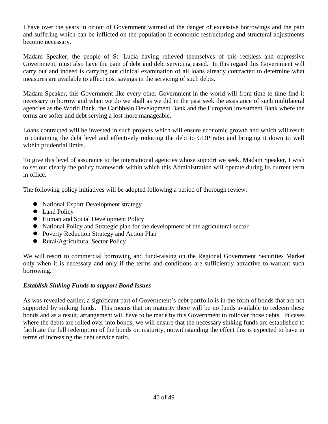I have over the years in or out of Government warned of the danger of excessive borrowings and the pain and suffering which can be inflicted on the population if economic restructuring and structural adjustments become necessary.

Madam Speaker, the people of St. Lucia having relieved themselves of this reckless and oppressive Government, must also have the pain of debt and debt servicing eased. In this regard this Government will carry out and indeed is carrying out clinical examination of all loans already contracted to determine what measures are available to effect cost savings in the servicing of such debts.

Madam Speaker, this Government like every other Government in the world will from time to time find it necessary to borrow and when we do we shall as we did in the past seek the assistance of such multilateral agencies as the World Bank, the Caribbean Development Bank and the European Investment Bank where the terms are softer and debt serving a lost more manageable.

Loans contracted will be invested in such projects which will ensure economic growth and which will result in containing the debt level and effectively reducing the debt to GDP ratio and bringing it down to well within prudential limits.

To give this level of assurance to the international agencies whose support we seek, Madam Speaker, I wish to set out clearly the policy framework within which this Administration will operate during its current term in office.

The following policy initiatives will be adopted following a period of thorough review:

- National Export Development strategy
- Land Policy
- Human and Social Development Policy
- National Policy and Strategic plan for the development of the agricultural sector
- Poverty Reduction Strategy and Action Plan
- Rural/Agricultural Sector Policy

We will resort to commercial borrowing and fund-raising on the Regional Government Securities Market only when it is necessary and only if the terms and conditions are sufficiently attractive to warrant such borrowing.

# *Establish Sinking Funds to support Bond Issues*

As was revealed earlier, a significant part of Government's debt portfolio is in the form of bonds that are not supported by sinking funds. This means that on maturity there will be no funds available to redeem these bonds and as a result, arrangement will have to be made by this Government to rollover those debts. In cases where the debts are rolled over into bonds, we will ensure that the necessary sinking funds are established to facilitate the full redemption of the bonds on maturity, notwithstanding the effect this is expected to have in terms of increasing the debt service ratio.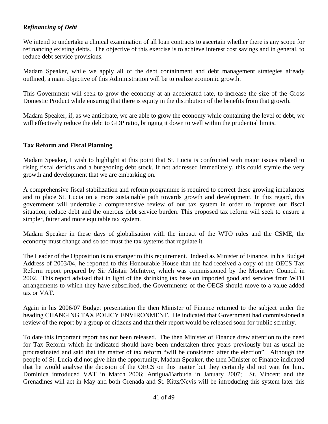# *Refinancing of Debt*

We intend to undertake a clinical examination of all loan contracts to ascertain whether there is any scope for refinancing existing debts. The objective of this exercise is to achieve interest cost savings and in general, to reduce debt service provisions.

Madam Speaker, while we apply all of the debt containment and debt management strategies already outlined, a main objective of this Administration will be to realize economic growth.

This Government will seek to grow the economy at an accelerated rate, to increase the size of the Gross Domestic Product while ensuring that there is equity in the distribution of the benefits from that growth.

Madam Speaker, if, as we anticipate, we are able to grow the economy while containing the level of debt, we will effectively reduce the debt to GDP ratio, bringing it down to well within the prudential limits.

## **Tax Reform and Fiscal Planning**

Madam Speaker, I wish to highlight at this point that St. Lucia is confronted with major issues related to rising fiscal deficits and a burgeoning debt stock. If not addressed immediately, this could stymie the very growth and development that we are embarking on.

A comprehensive fiscal stabilization and reform programme is required to correct these growing imbalances and to place St. Lucia on a more sustainable path towards growth and development. In this regard, this government will undertake a comprehensive review of our tax system in order to improve our fiscal situation, reduce debt and the onerous debt service burden. This proposed tax reform will seek to ensure a simpler, fairer and more equitable tax system.

Madam Speaker in these days of globalisation with the impact of the WTO rules and the CSME, the economy must change and so too must the tax systems that regulate it.

The Leader of the Opposition is no stranger to this requirement. Indeed as Minister of Finance, in his Budget Address of 2003/04, he reported to this Honourable House that the had received a copy of the OECS Tax Reform report prepared by Sir Alistair McIntyre, which was commissioned by the Monetary Council in 2002. This report advised that in light of the shrinking tax base on imported good and services from WTO arrangements to which they have subscribed, the Governments of the OECS should move to a value added tax or VAT.

Again in his 2006/07 Budget presentation the then Minister of Finance returned to the subject under the heading CHANGING TAX POLICY ENVIRONMENT. He indicated that Government had commissioned a review of the report by a group of citizens and that their report would be released soon for public scrutiny.

To date this important report has not been released. The then Minister of Finance drew attention to the need for Tax Reform which he indicated should have been undertaken three years previously but as usual he procrastinated and said that the matter of tax reform "will be considered after the election". Although the people of St. Lucia did not give him the opportunity, Madam Speaker, the then Minister of Finance indicated that he would analyse the decision of the OECS on this matter but they certainly did not wait for him. Dominica introduced VAT in March 2006; Antigua/Barbuda in January 2007; St. Vincent and the Grenadines will act in May and both Grenada and St. Kitts/Nevis will be introducing this system later this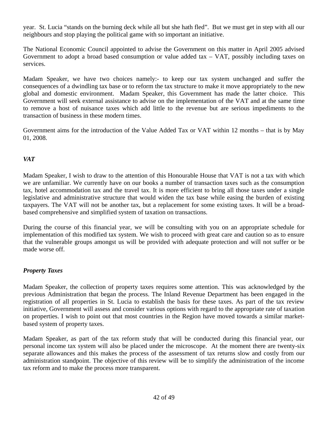year. St. Lucia "stands on the burning deck while all but she hath fled". But we must get in step with all our neighbours and stop playing the political game with so important an initiative.

The National Economic Council appointed to advise the Government on this matter in April 2005 advised Government to adopt a broad based consumption or value added tax – VAT, possibly including taxes on services.

Madam Speaker, we have two choices namely:- to keep our tax system unchanged and suffer the consequences of a dwindling tax base or to reform the tax structure to make it move appropriately to the new global and domestic environment. Madam Speaker, this Government has made the latter choice. This Government will seek external assistance to advise on the implementation of the VAT and at the same time to remove a host of nuisance taxes which add little to the revenue but are serious impediments to the transaction of business in these modern times.

Government aims for the introduction of the Value Added Tax or VAT within 12 months – that is by May 01, 2008.

# *VAT*

Madam Speaker, I wish to draw to the attention of this Honourable House that VAT is not a tax with which we are unfamiliar. We currently have on our books a number of transaction taxes such as the consumption tax, hotel accommodation tax and the travel tax. It is more efficient to bring all those taxes under a single legislative and administrative structure that would widen the tax base while easing the burden of existing taxpayers. The VAT will not be another tax, but a replacement for some existing taxes. It will be a broadbased comprehensive and simplified system of taxation on transactions.

During the course of this financial year, we will be consulting with you on an appropriate schedule for implementation of this modified tax system. We wish to proceed with great care and caution so as to ensure that the vulnerable groups amongst us will be provided with adequate protection and will not suffer or be made worse off.

# *Property Taxes*

Madam Speaker, the collection of property taxes requires some attention. This was acknowledged by the previous Administration that began the process. The Inland Revenue Department has been engaged in the registration of all properties in St. Lucia to establish the basis for these taxes. As part of the tax review initiative, Government will assess and consider various options with regard to the appropriate rate of taxation on properties. I wish to point out that most countries in the Region have moved towards a similar marketbased system of property taxes.

Madam Speaker, as part of the tax reform study that will be conducted during this financial year, our personal income tax system will also be placed under the microscope. At the moment there are twenty-six separate allowances and this makes the process of the assessment of tax returns slow and costly from our administration standpoint. The objective of this review will be to simplify the administration of the income tax reform and to make the process more transparent.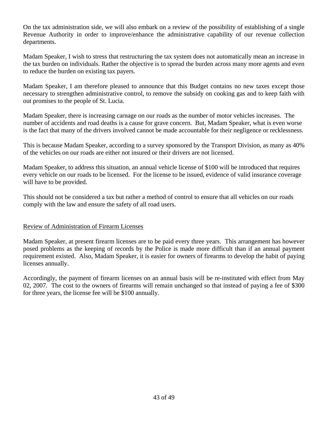On the tax administration side, we will also embark on a review of the possibility of establishing of a single Revenue Authority in order to improve/enhance the administrative capability of our revenue collection departments.

Madam Speaker, I wish to stress that restructuring the tax system does not automatically mean an increase in the tax burden on individuals. Rather the objective is to spread the burden across many more agents and even to reduce the burden on existing tax payers.

Madam Speaker, I am therefore pleased to announce that this Budget contains no new taxes except those necessary to strengthen administrative control, to remove the subsidy on cooking gas and to keep faith with out promises to the people of St. Lucia.

Madam Speaker, there is increasing carnage on our roads as the number of motor vehicles increases. The number of accidents and road deaths is a cause for grave concern. But, Madam Speaker, what is even worse is the fact that many of the drivers involved cannot be made accountable for their negligence or recklessness.

This is because Madam Speaker, according to a survey sponsored by the Transport Division, as many as 40% of the vehicles on our roads are either not insured or their drivers are not licensed.

Madam Speaker, to address this situation, an annual vehicle license of \$100 will be introduced that requires every vehicle on our roads to be licensed. For the license to be issued, evidence of valid insurance coverage will have to be provided.

This should not be considered a tax but rather a method of control to ensure that all vehicles on our roads comply with the law and ensure the safety of all road users.

# Review of Administration of Firearm Licenses

Madam Speaker, at present firearm licenses are to be paid every three years. This arrangement has however posed problems as the keeping of records by the Police is made more difficult than if an annual payment requirement existed. Also, Madam Speaker, it is easier for owners of firearms to develop the habit of paying licenses annually.

Accordingly, the payment of firearm licenses on an annual basis will be re-instituted with effect from May 02, 2007. The cost to the owners of firearms will remain unchanged so that instead of paying a fee of \$300 for three years, the license fee will be \$100 annually.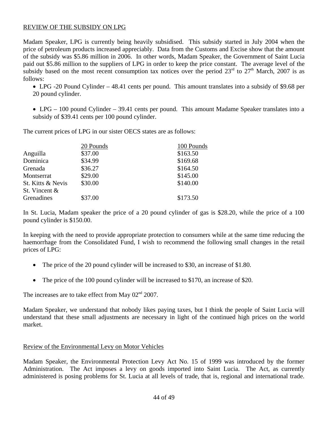## REVIEW OF THE SUBSIDY ON LPG

Madam Speaker, LPG is currently being heavily subsidised. This subsidy started in July 2004 when the price of petroleum products increased appreciably. Data from the Customs and Excise show that the amount of the subsidy was \$5.86 million in 2006. In other words, Madam Speaker, the Government of Saint Lucia paid out \$5.86 million to the suppliers of LPG in order to keep the price constant. The average level of the subsidy based on the most recent consumption tax notices over the period  $23^{\text{rd}}$  to  $27^{\text{th}}$  March, 2007 is as follows:

• LPG -20 Pound Cylinder – 48.41 cents per pound. This amount translates into a subsidy of \$9.68 per 20 pound cylinder.

• LPG – 100 pound Cylinder – 39.41 cents per pound. This amount Madame Speaker translates into a subsidy of \$39.41 cents per 100 pound cylinder.

The current prices of LPG in our sister OECS states are as follows:

|                   | 20 Pounds | 100 Pounds |
|-------------------|-----------|------------|
| Anguilla          | \$37.00   | \$163.50   |
| Dominica          | \$34.99   | \$169.68   |
| Grenada           | \$36.27   | \$164.50   |
| Montserrat        | \$29.00   | \$145.00   |
| St. Kitts & Nevis | \$30.00   | \$140.00   |
| St. Vincent &     |           |            |
| Grenadines        | \$37.00   | \$173.50   |
|                   |           |            |

In St. Lucia, Madam speaker the price of a 20 pound cylinder of gas is \$28.20, while the price of a 100 pound cylinder is \$150.00.

In keeping with the need to provide appropriate protection to consumers while at the same time reducing the haemorrhage from the Consolidated Fund, I wish to recommend the following small changes in the retail prices of LPG:

- The price of the 20 pound cylinder will be increased to \$30, an increase of \$1.80.
- The price of the 100 pound cylinder will be increased to \$170, an increase of \$20.

The increases are to take effect from May  $02<sup>nd</sup> 2007$ .

Madam Speaker, we understand that nobody likes paying taxes, but I think the people of Saint Lucia will understand that these small adjustments are necessary in light of the continued high prices on the world market.

#### Review of the Environmental Levy on Motor Vehicles

Madam Speaker, the Environmental Protection Levy Act No. 15 of 1999 was introduced by the former Administration. The Act imposes a levy on goods imported into Saint Lucia. The Act, as currently administered is posing problems for St. Lucia at all levels of trade, that is, regional and international trade.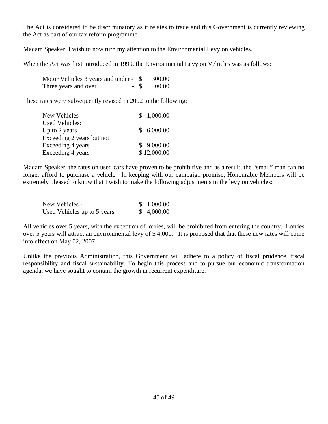The Act is considered to be discriminatory as it relates to trade and this Government is currently reviewing the Act as part of our tax reform programme.

Madam Speaker, I wish to now turn my attention to the Environmental Levy on vehicles.

When the Act was first introduced in 1999, the Environmental Levy on Vehicles was as follows:

| Motor Vehicles 3 years and under - \$ | 300.00        |
|---------------------------------------|---------------|
| Three years and over                  | $-$ \$ 400.00 |

These rates were subsequently revised in 2002 to the following:

| New Vehicles -            | \$1,000.00  |
|---------------------------|-------------|
| <b>Used Vehicles:</b>     |             |
| Up to 2 years             | \$6,000.00  |
| Exceeding 2 years but not |             |
| Exceeding 4 years         | \$9,000.00  |
| Exceeding 4 years         | \$12,000.00 |

Madam Speaker, the rates on used cars have proven to be prohibitive and as a result, the "small" man can no longer afford to purchase a vehicle. In keeping with our campaign promise, Honourable Members will be extremely pleased to know that I wish to make the following adjustments in the levy on vehicles:

| New Vehicles -              | \$1,000.00 |
|-----------------------------|------------|
| Used Vehicles up to 5 years | \$4,000.00 |

All vehicles over 5 years, with the exception of lorries, will be prohibited from entering the country. Lorries over 5 years will attract an environmental levy of \$ 4,000. It is proposed that that these new rates will come into effect on May 02, 2007.

Unlike the previous Administration, this Government will adhere to a policy of fiscal prudence, fiscal responsibility and fiscal sustainability. To begin this process and to pursue our economic transformation agenda, we have sought to contain the growth in recurrent expenditure.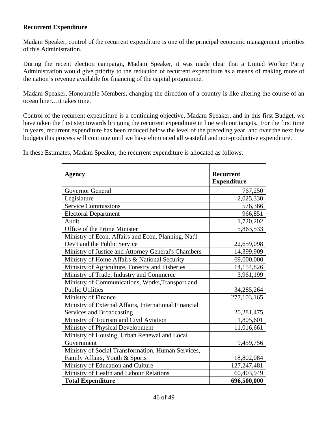## **Recurrent Expenditure**

Madam Speaker, control of the recurrent expenditure is one of the principal economic management priorities of this Administration.

During the recent election campaign, Madam Speaker, it was made clear that a United Worker Party Administration would give priority to the reduction of recurrent expenditure as a means of making more of the nation's revenue available for financing of the capital programme.

Madam Speaker, Honourable Members, changing the direction of a country is like altering the course of an ocean liner…it takes time.

Control of the recurrent expenditure is a continuing objective, Madam Speaker, and in this first Budget, we have taken the first step towards bringing the recurrent expenditure in line with our targets. For the first time in years, recurrent expenditure has been reduced below the level of the preceding year, and over the next few budgets this process will continue until we have eliminated all wasteful and non-productive expenditure.

In these Estimates, Madam Speaker, the recurrent expenditure is allocated as follows:

| Agency                                                | <b>Recurrent</b><br><b>Expenditure</b> |
|-------------------------------------------------------|----------------------------------------|
| <b>Governor General</b>                               | 767,250                                |
| Legislature                                           | 2,025,330                              |
| <b>Service Commissions</b>                            | 576,366                                |
| <b>Electoral Department</b>                           | 966,851                                |
| Audit                                                 | 1,720,202                              |
| Office of the Prime Minister                          | 5,863,533                              |
| Ministry of Econ. Affairs and Econ. Planning, Nat'l   |                                        |
| Dev't and the Public Service                          | 22,659,098                             |
| Ministry of Justice and Attorney General's Chambers   | 14,399,909                             |
| Ministry of Home Affairs & National Security          | 69,000,000                             |
| Ministry of Agriculture, Forestry and Fisheries       | 14,154,826                             |
| Ministry of Trade, Industry and Commerce              | 3,961,199                              |
| Ministry of Communications, Works, Transport and      |                                        |
| <b>Public Utilities</b>                               | 34, 285, 264                           |
| <b>Ministry of Finance</b>                            | 277,103,165                            |
| Ministry of External Affairs, International Financial |                                        |
| Services and Broadcasting                             | 20, 281, 475                           |
| Ministry of Tourism and Civil Aviation                | 1,805,601                              |
| Ministry of Physical Development                      | 11,016,661                             |
| Ministry of Housing, Urban Renewal and Local          |                                        |
| Government                                            | 9,459,756                              |
| Ministry of Social Transformation, Human Services,    |                                        |
| Family Affairs, Youth & Sports                        | 18,802,084                             |
| Ministry of Education and Culture                     | 127,247,481                            |
| Ministry of Health and Labour Relations               | 60,403,949                             |
| <b>Total Expenditure</b>                              | 696,500,000                            |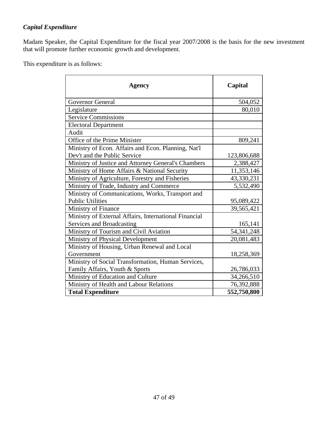# *Capital Expenditure*

Madam Speaker, the Capital Expenditure for the fiscal year 2007/2008 is the basis for the new investment that will promote further economic growth and development.

This expenditure is as follows:

| Agency                                                | Capital      |
|-------------------------------------------------------|--------------|
| <b>Governor General</b>                               | 504,052      |
| Legislature                                           | 80,010       |
| <b>Service Commissions</b>                            |              |
| <b>Electoral Department</b>                           |              |
| Audit                                                 |              |
| Office of the Prime Minister                          | 809,241      |
| Ministry of Econ. Affairs and Econ. Planning, Nat'l   |              |
| Dev't and the Public Service                          | 123,806,688  |
| Ministry of Justice and Attorney General's Chambers   | 2,388,427    |
| Ministry of Home Affairs & National Security          | 11,353,146   |
| Ministry of Agriculture, Forestry and Fisheries       | 43,330,231   |
| Ministry of Trade, Industry and Commerce              | 5,532,490    |
| Ministry of Communications, Works, Transport and      |              |
| <b>Public Utilities</b>                               | 95,089,422   |
| Ministry of Finance                                   | 39,565,421   |
| Ministry of External Affairs, International Financial |              |
| Services and Broadcasting                             | 165,141      |
| Ministry of Tourism and Civil Aviation                | 54, 341, 248 |
| Ministry of Physical Development                      | 20,081,483   |
| Ministry of Housing, Urban Renewal and Local          |              |
| Government                                            | 18,258,369   |
| Ministry of Social Transformation, Human Services,    |              |
| Family Affairs, Youth & Sports                        | 26,786,033   |
| Ministry of Education and Culture                     | 34,266,510   |
| Ministry of Health and Labour Relations               | 76,392,888   |
| <b>Total Expenditure</b>                              | 552,750,800  |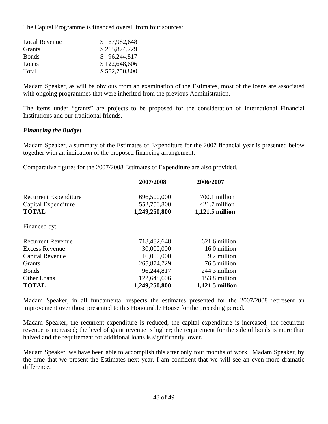The Capital Programme is financed overall from four sources:

| <b>Local Revenue</b> | \$67,982,648  |
|----------------------|---------------|
| Grants               | \$265,874,729 |
| <b>Bonds</b>         | \$96,244,817  |
| Loans                | \$122,648,606 |
| Total                | \$552,750,800 |

Madam Speaker, as will be obvious from an examination of the Estimates, most of the loans are associated with ongoing programmes that were inherited from the previous Administration.

The items under "grants" are projects to be proposed for the consideration of International Financial Institutions and our traditional friends.

# *Financing the Budget*

Madam Speaker, a summary of the Estimates of Expenditure for the 2007 financial year is presented below together with an indication of the proposed financing arrangement.

Comparative figures for the 2007/2008 Estimates of Expenditure are also provided.

|                              | 2007/2008     | 2006/2007       |
|------------------------------|---------------|-----------------|
| <b>Recurrent Expenditure</b> | 696,500,000   | 700.1 million   |
| Capital Expenditure          | 552,750,800   | 421.7 million   |
| <b>TOTAL</b>                 | 1,249,250,800 | 1,121.5 million |
| Financed by:                 |               |                 |
| <b>Recurrent Revenue</b>     | 718,482,648   | 621.6 million   |
| <b>Excess Revenue</b>        | 30,000,000    | 16.0 million    |
| Capital Revenue              | 16,000,000    | 9.2 million     |
| Grants                       | 265,874,729   | 76.5 million    |
| <b>Bonds</b>                 | 96,244,817    | 244.3 million   |
| Other Loans                  | 122,648,606   | 153.8 million   |
| <b>TOTAL</b>                 | 1,249,250,800 | 1,121.5 million |

Madam Speaker, in all fundamental respects the estimates presented for the 2007/2008 represent an improvement over those presented to this Honourable House for the preceding period.

Madam Speaker, the recurrent expenditure is reduced; the capital expenditure is increased; the recurrent revenue is increased; the level of grant revenue is higher; the requirement for the sale of bonds is more than halved and the requirement for additional loans is significantly lower.

Madam Speaker, we have been able to accomplish this after only four months of work. Madam Speaker, by the time that we present the Estimates next year, I am confident that we will see an even more dramatic difference.